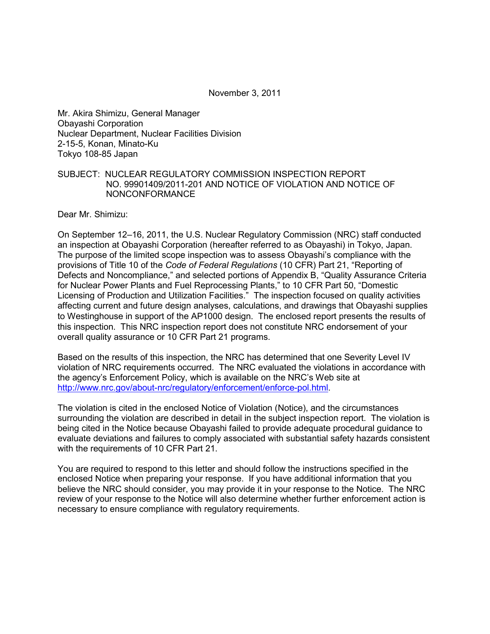November 3, 2011

Mr. Akira Shimizu, General Manager Obayashi Corporation Nuclear Department, Nuclear Facilities Division 2-15-5, Konan, Minato-Ku Tokyo 108-85 Japan

#### SUBJECT: NUCLEAR REGULATORY COMMISSION INSPECTION REPORT NO. 99901409/2011-201 AND NOTICE OF VIOLATION AND NOTICE OF NONCONFORMANCE

Dear Mr. Shimizu:

On September 12–16, 2011, the U.S. Nuclear Regulatory Commission (NRC) staff conducted an inspection at Obayashi Corporation (hereafter referred to as Obayashi) in Tokyo, Japan. The purpose of the limited scope inspection was to assess Obayashi's compliance with the provisions of Title 10 of the *Code of Federal Regulations* (10 CFR) Part 21, "Reporting of Defects and Noncompliance," and selected portions of Appendix B, "Quality Assurance Criteria for Nuclear Power Plants and Fuel Reprocessing Plants," to 10 CFR Part 50, "Domestic Licensing of Production and Utilization Facilities." The inspection focused on quality activities affecting current and future design analyses, calculations, and drawings that Obayashi supplies to Westinghouse in support of the AP1000 design. The enclosed report presents the results of this inspection. This NRC inspection report does not constitute NRC endorsement of your overall quality assurance or 10 CFR Part 21 programs.

Based on the results of this inspection, the NRC has determined that one Severity Level IV violation of NRC requirements occurred. The NRC evaluated the violations in accordance with the agency's Enforcement Policy, which is available on the NRC's Web site at http://www.nrc.gov/about-nrc/regulatory/enforcement/enforce-pol.html.

The violation is cited in the enclosed Notice of Violation (Notice), and the circumstances surrounding the violation are described in detail in the subject inspection report. The violation is being cited in the Notice because Obayashi failed to provide adequate procedural guidance to evaluate deviations and failures to comply associated with substantial safety hazards consistent with the requirements of 10 CFR Part 21.

You are required to respond to this letter and should follow the instructions specified in the enclosed Notice when preparing your response. If you have additional information that you believe the NRC should consider, you may provide it in your response to the Notice. The NRC review of your response to the Notice will also determine whether further enforcement action is necessary to ensure compliance with regulatory requirements.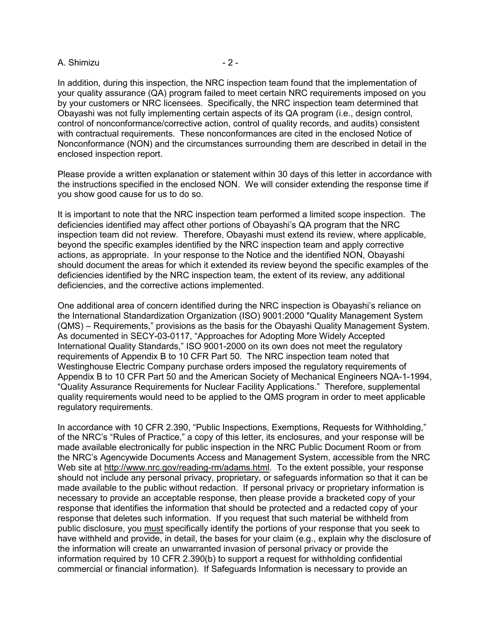#### A. Shimizu - 2 -

In addition, during this inspection, the NRC inspection team found that the implementation of your quality assurance (QA) program failed to meet certain NRC requirements imposed on you by your customers or NRC licensees. Specifically, the NRC inspection team determined that Obayashi was not fully implementing certain aspects of its QA program (i.e., design control, control of nonconformance/corrective action, control of quality records, and audits) consistent with contractual requirements. These nonconformances are cited in the enclosed Notice of Nonconformance (NON) and the circumstances surrounding them are described in detail in the enclosed inspection report.

Please provide a written explanation or statement within 30 days of this letter in accordance with the instructions specified in the enclosed NON. We will consider extending the response time if you show good cause for us to do so.

It is important to note that the NRC inspection team performed a limited scope inspection. The deficiencies identified may affect other portions of Obayashi's QA program that the NRC inspection team did not review. Therefore, Obayashi must extend its review, where applicable, beyond the specific examples identified by the NRC inspection team and apply corrective actions, as appropriate. In your response to the Notice and the identified NON, Obayashi should document the areas for which it extended its review beyond the specific examples of the deficiencies identified by the NRC inspection team, the extent of its review, any additional deficiencies, and the corrective actions implemented.

One additional area of concern identified during the NRC inspection is Obayashi's reliance on the International Standardization Organization (ISO) 9001:2000 "Quality Management System (QMS) – Requirements," provisions as the basis for the Obayashi Quality Management System. As documented in SECY-03-0117, "Approaches for Adopting More Widely Accepted International Quality Standards," ISO 9001-2000 on its own does not meet the regulatory requirements of Appendix B to 10 CFR Part 50. The NRC inspection team noted that Westinghouse Electric Company purchase orders imposed the regulatory requirements of Appendix B to 10 CFR Part 50 and the American Society of Mechanical Engineers NQA-1-1994, "Quality Assurance Requirements for Nuclear Facility Applications." Therefore, supplemental quality requirements would need to be applied to the QMS program in order to meet applicable regulatory requirements.

In accordance with 10 CFR 2.390, "Public Inspections, Exemptions, Requests for Withholding," of the NRC's "Rules of Practice," a copy of this letter, its enclosures, and your response will be made available electronically for public inspection in the NRC Public Document Room or from the NRC's Agencywide Documents Access and Management System, accessible from the NRC Web site at http://www.nrc.gov/reading-rm/adams.html. To the extent possible, your response should not include any personal privacy, proprietary, or safeguards information so that it can be made available to the public without redaction. If personal privacy or proprietary information is necessary to provide an acceptable response, then please provide a bracketed copy of your response that identifies the information that should be protected and a redacted copy of your response that deletes such information. If you request that such material be withheld from public disclosure, you must specifically identify the portions of your response that you seek to have withheld and provide, in detail, the bases for your claim (e.g., explain why the disclosure of the information will create an unwarranted invasion of personal privacy or provide the information required by 10 CFR 2.390(b) to support a request for withholding confidential commercial or financial information). If Safeguards Information is necessary to provide an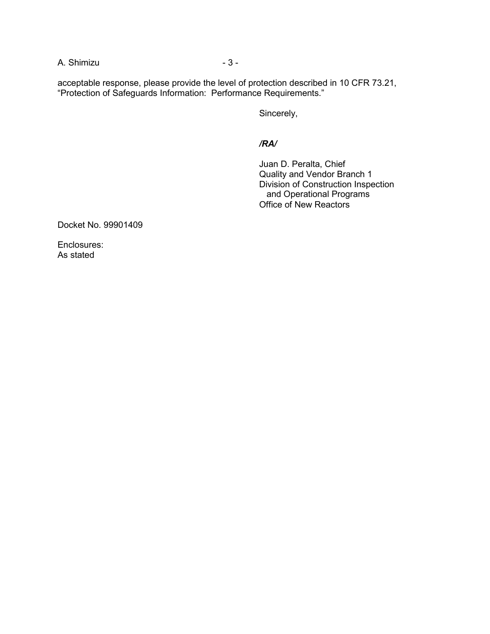A. Shimizu - 3 -

acceptable response, please provide the level of protection described in 10 CFR 73.21, "Protection of Safeguards Information: Performance Requirements."

Sincerely,

*/RA/* 

 Juan D. Peralta, Chief Quality and Vendor Branch 1 Division of Construction Inspection and Operational Programs Office of New Reactors

Docket No. 99901409

Enclosures: As stated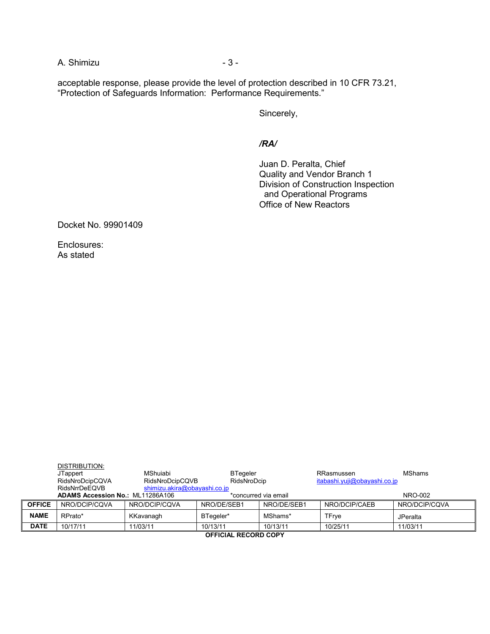A. Shimizu - 3 -

acceptable response, please provide the level of protection described in 10 CFR 73.21, "Protection of Safeguards Information: Performance Requirements."

Sincerely,

*/RA/*

 Juan D. Peralta, Chief Quality and Vendor Branch 1 Division of Construction Inspection and Operational Programs Office of New Reactors

Docket No. 99901409

Enclosures: As stated

|               | DISTRIBUTION:<br>JTappert<br>RidsNroDcipCQVA<br>RidsNrrDeEQVB | MShuiabi<br>RidsNroDcipCQVB<br>shimizu.akira@obayashi.co.jp | <b>BTegeler</b><br>RidsNroDcip |                      | RRasmussen<br>itabashi.yuji@obayashi.co.jp | <b>MShams</b>   |  |
|---------------|---------------------------------------------------------------|-------------------------------------------------------------|--------------------------------|----------------------|--------------------------------------------|-----------------|--|
|               | <b>ADAMS Accession No.: ML11286A106</b>                       |                                                             |                                | *concurred via email |                                            | NRO-002         |  |
| <b>OFFICE</b> | NRO/DCIP/COVA                                                 | NRO/DCIP/COVA                                               | NRO/DE/SEB1                    | NRO/DE/SEB1          | NRO/DCIP/CAEB                              | NRO/DCIP/COVA   |  |
| <b>NAME</b>   | RPrato*                                                       | KKavanagh                                                   | BTegeler*                      | MShams*              | TFrye                                      | <b>JPeralta</b> |  |
| <b>DATE</b>   | 10/17/11                                                      | 11/03/11                                                    | 10/13/11                       | 10/13/11             | 10/25/11                                   | 11/03/11        |  |
|               | AFFIAIAL BEAARD AABY                                          |                                                             |                                |                      |                                            |                 |  |

**OFFICIAL RECORD COPY**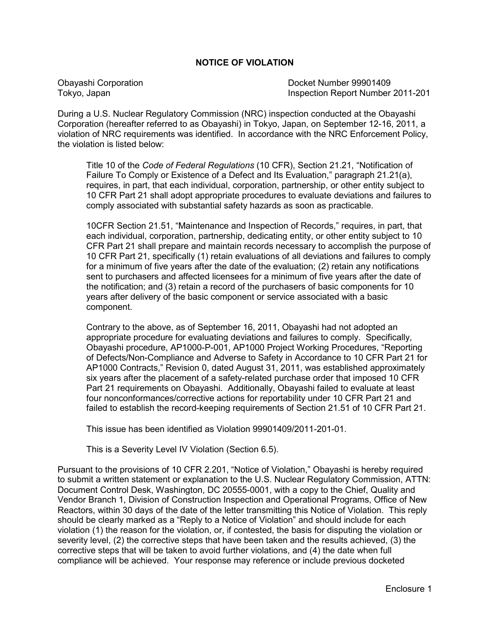#### **NOTICE OF VIOLATION**

Obayashi Corporation Docket Number 99901409 Tokyo, Japan Inspection Report Number 2011-201

During a U.S. Nuclear Regulatory Commission (NRC) inspection conducted at the Obayashi Corporation (hereafter referred to as Obayashi) in Tokyo, Japan, on September 12-16, 2011, a violation of NRC requirements was identified. In accordance with the NRC Enforcement Policy, the violation is listed below:

 Title 10 of the *Code of Federal Regulations* (10 CFR), Section 21.21, "Notification of Failure To Comply or Existence of a Defect and Its Evaluation," paragraph 21.21(a), requires, in part, that each individual, corporation, partnership, or other entity subject to 10 CFR Part 21 shall adopt appropriate procedures to evaluate deviations and failures to comply associated with substantial safety hazards as soon as practicable.

 10CFR Section 21.51, "Maintenance and Inspection of Records," requires, in part, that each individual, corporation, partnership, dedicating entity, or other entity subject to 10 CFR Part 21 shall prepare and maintain records necessary to accomplish the purpose of 10 CFR Part 21, specifically (1) retain evaluations of all deviations and failures to comply for a minimum of five years after the date of the evaluation; (2) retain any notifications sent to purchasers and affected licensees for a minimum of five years after the date of the notification; and (3) retain a record of the purchasers of basic components for 10 years after delivery of the basic component or service associated with a basic component.

Contrary to the above, as of September 16, 2011, Obayashi had not adopted an appropriate procedure for evaluating deviations and failures to comply. Specifically, Obayashi procedure, AP1000-P-001, AP1000 Project Working Procedures, "Reporting of Defects/Non-Compliance and Adverse to Safety in Accordance to 10 CFR Part 21 for AP1000 Contracts," Revision 0, dated August 31, 2011, was established approximately six years after the placement of a safety-related purchase order that imposed 10 CFR Part 21 requirements on Obayashi. Additionally, Obayashi failed to evaluate at least four nonconformances/corrective actions for reportability under 10 CFR Part 21 and failed to establish the record-keeping requirements of Section 21.51 of 10 CFR Part 21.

This issue has been identified as Violation 99901409/2011-201-01.

This is a Severity Level IV Violation (Section 6.5).

Pursuant to the provisions of 10 CFR 2.201, "Notice of Violation," Obayashi is hereby required to submit a written statement or explanation to the U.S. Nuclear Regulatory Commission, ATTN: Document Control Desk, Washington, DC 20555-0001, with a copy to the Chief, Quality and Vendor Branch 1, Division of Construction Inspection and Operational Programs, Office of New Reactors, within 30 days of the date of the letter transmitting this Notice of Violation. This reply should be clearly marked as a "Reply to a Notice of Violation" and should include for each violation (1) the reason for the violation, or, if contested, the basis for disputing the violation or severity level, (2) the corrective steps that have been taken and the results achieved, (3) the corrective steps that will be taken to avoid further violations, and (4) the date when full compliance will be achieved. Your response may reference or include previous docketed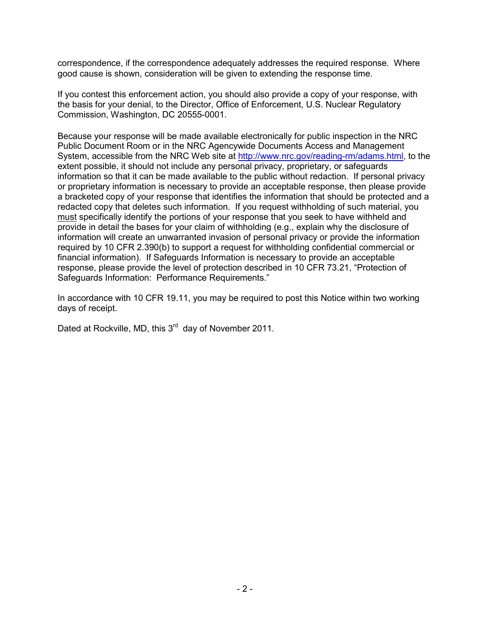correspondence, if the correspondence adequately addresses the required response. Where good cause is shown, consideration will be given to extending the response time.

If you contest this enforcement action, you should also provide a copy of your response, with the basis for your denial, to the Director, Office of Enforcement, U.S. Nuclear Regulatory Commission, Washington, DC 20555-0001.

Because your response will be made available electronically for public inspection in the NRC Public Document Room or in the NRC Agencywide Documents Access and Management System, accessible from the NRC Web site at http://www.nrc.gov/reading-rm/adams.html, to the extent possible, it should not include any personal privacy, proprietary, or safeguards information so that it can be made available to the public without redaction. If personal privacy or proprietary information is necessary to provide an acceptable response, then please provide a bracketed copy of your response that identifies the information that should be protected and a redacted copy that deletes such information. If you request withholding of such material, you must specifically identify the portions of your response that you seek to have withheld and provide in detail the bases for your claim of withholding (e.g., explain why the disclosure of information will create an unwarranted invasion of personal privacy or provide the information required by 10 CFR 2.390(b) to support a request for withholding confidential commercial or financial information). If Safeguards Information is necessary to provide an acceptable response, please provide the level of protection described in 10 CFR 73.21, "Protection of Safeguards Information: Performance Requirements."

In accordance with 10 CFR 19.11, you may be required to post this Notice within two working days of receipt.

Dated at Rockville, MD, this 3<sup>rd</sup> day of November 2011.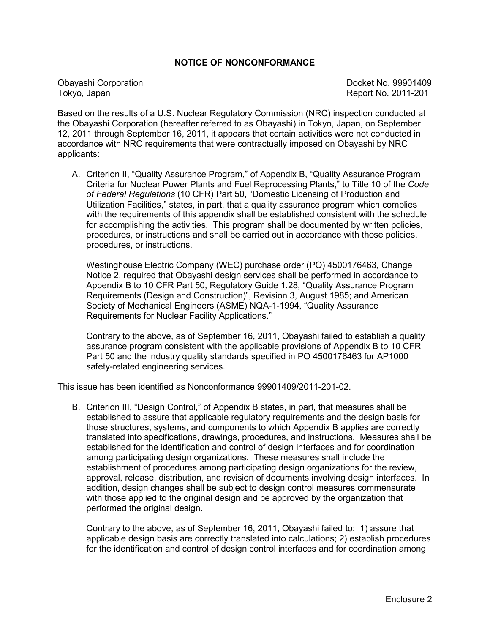#### **NOTICE OF NONCONFORMANCE**

Tokyo, Japan Report No. 2011-201

Obayashi Corporation **Docket No. 99901409** 

Based on the results of a U.S. Nuclear Regulatory Commission (NRC) inspection conducted at the Obayashi Corporation (hereafter referred to as Obayashi) in Tokyo, Japan, on September 12, 2011 through September 16, 2011, it appears that certain activities were not conducted in accordance with NRC requirements that were contractually imposed on Obayashi by NRC applicants:

A. Criterion II, "Quality Assurance Program," of Appendix B, "Quality Assurance Program Criteria for Nuclear Power Plants and Fuel Reprocessing Plants," to Title 10 of the *Code of Federal Regulations* (10 CFR) Part 50, "Domestic Licensing of Production and Utilization Facilities," states, in part, that a quality assurance program which complies with the requirements of this appendix shall be established consistent with the schedule for accomplishing the activities. This program shall be documented by written policies, procedures, or instructions and shall be carried out in accordance with those policies, procedures, or instructions.

Westinghouse Electric Company (WEC) purchase order (PO) 4500176463, Change Notice 2, required that Obayashi design services shall be performed in accordance to Appendix B to 10 CFR Part 50, Regulatory Guide 1.28, "Quality Assurance Program Requirements (Design and Construction)", Revision 3, August 1985; and American Society of Mechanical Engineers (ASME) NQA-1-1994, "Quality Assurance Requirements for Nuclear Facility Applications."

Contrary to the above, as of September 16, 2011, Obayashi failed to establish a quality assurance program consistent with the applicable provisions of Appendix B to 10 CFR Part 50 and the industry quality standards specified in PO 4500176463 for AP1000 safety-related engineering services.

This issue has been identified as Nonconformance 99901409/2011-201-02.

B. Criterion III, "Design Control," of Appendix B states, in part, that measures shall be established to assure that applicable regulatory requirements and the design basis for those structures, systems, and components to which Appendix B applies are correctly translated into specifications, drawings, procedures, and instructions. Measures shall be established for the identification and control of design interfaces and for coordination among participating design organizations. These measures shall include the establishment of procedures among participating design organizations for the review, approval, release, distribution, and revision of documents involving design interfaces. In addition, design changes shall be subject to design control measures commensurate with those applied to the original design and be approved by the organization that performed the original design.

Contrary to the above, as of September 16, 2011, Obayashi failed to: 1) assure that applicable design basis are correctly translated into calculations; 2) establish procedures for the identification and control of design control interfaces and for coordination among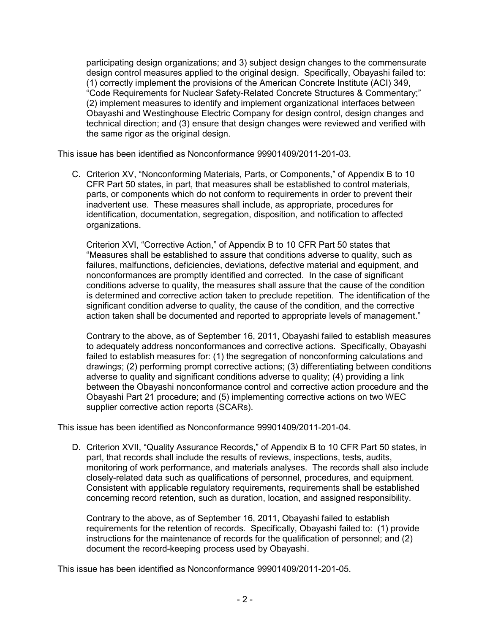participating design organizations; and 3) subject design changes to the commensurate design control measures applied to the original design. Specifically, Obayashi failed to: (1) correctly implement the provisions of the American Concrete Institute (ACI) 349, "Code Requirements for Nuclear Safety-Related Concrete Structures & Commentary;" (2) implement measures to identify and implement organizational interfaces between Obayashi and Westinghouse Electric Company for design control, design changes and technical direction; and (3) ensure that design changes were reviewed and verified with the same rigor as the original design.

This issue has been identified as Nonconformance 99901409/2011-201-03.

C. Criterion XV, "Nonconforming Materials, Parts, or Components," of Appendix B to 10 CFR Part 50 states, in part, that measures shall be established to control materials, parts, or components which do not conform to requirements in order to prevent their inadvertent use. These measures shall include, as appropriate, procedures for identification, documentation, segregation, disposition, and notification to affected organizations.

Criterion XVI, "Corrective Action," of Appendix B to 10 CFR Part 50 states that "Measures shall be established to assure that conditions adverse to quality, such as failures, malfunctions, deficiencies, deviations, defective material and equipment, and nonconformances are promptly identified and corrected. In the case of significant conditions adverse to quality, the measures shall assure that the cause of the condition is determined and corrective action taken to preclude repetition. The identification of the significant condition adverse to quality, the cause of the condition, and the corrective action taken shall be documented and reported to appropriate levels of management."

Contrary to the above, as of September 16, 2011, Obayashi failed to establish measures to adequately address nonconformances and corrective actions. Specifically, Obayashi failed to establish measures for: (1) the segregation of nonconforming calculations and drawings; (2) performing prompt corrective actions; (3) differentiating between conditions adverse to quality and significant conditions adverse to quality; (4) providing a link between the Obayashi nonconformance control and corrective action procedure and the Obayashi Part 21 procedure; and (5) implementing corrective actions on two WEC supplier corrective action reports (SCARs).

This issue has been identified as Nonconformance 99901409/2011-201-04.

D. Criterion XVII, "Quality Assurance Records," of Appendix B to 10 CFR Part 50 states, in part, that records shall include the results of reviews, inspections, tests, audits, monitoring of work performance, and materials analyses. The records shall also include closely-related data such as qualifications of personnel, procedures, and equipment. Consistent with applicable regulatory requirements, requirements shall be established concerning record retention, such as duration, location, and assigned responsibility.

Contrary to the above, as of September 16, 2011, Obayashi failed to establish requirements for the retention of records. Specifically, Obayashi failed to: (1) provide instructions for the maintenance of records for the qualification of personnel; and (2) document the record-keeping process used by Obayashi.

This issue has been identified as Nonconformance 99901409/2011-201-05.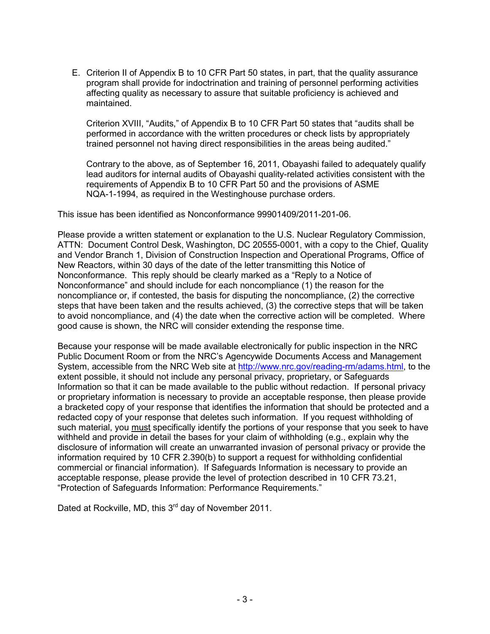E. Criterion II of Appendix B to 10 CFR Part 50 states, in part, that the quality assurance program shall provide for indoctrination and training of personnel performing activities affecting quality as necessary to assure that suitable proficiency is achieved and maintained.

Criterion XVIII, "Audits," of Appendix B to 10 CFR Part 50 states that "audits shall be performed in accordance with the written procedures or check lists by appropriately trained personnel not having direct responsibilities in the areas being audited."

Contrary to the above, as of September 16, 2011, Obayashi failed to adequately qualify lead auditors for internal audits of Obayashi quality-related activities consistent with the requirements of Appendix B to 10 CFR Part 50 and the provisions of ASME NQA-1-1994, as required in the Westinghouse purchase orders.

This issue has been identified as Nonconformance 99901409/2011-201-06.

Please provide a written statement or explanation to the U.S. Nuclear Regulatory Commission, ATTN: Document Control Desk, Washington, DC 20555-0001, with a copy to the Chief, Quality and Vendor Branch 1, Division of Construction Inspection and Operational Programs, Office of New Reactors, within 30 days of the date of the letter transmitting this Notice of Nonconformance. This reply should be clearly marked as a "Reply to a Notice of Nonconformance" and should include for each noncompliance (1) the reason for the noncompliance or, if contested, the basis for disputing the noncompliance, (2) the corrective steps that have been taken and the results achieved, (3) the corrective steps that will be taken to avoid noncompliance, and (4) the date when the corrective action will be completed. Where good cause is shown, the NRC will consider extending the response time.

Because your response will be made available electronically for public inspection in the NRC Public Document Room or from the NRC's Agencywide Documents Access and Management System, accessible from the NRC Web site at http://www.nrc.gov/reading-rm/adams.html, to the extent possible, it should not include any personal privacy, proprietary, or Safeguards Information so that it can be made available to the public without redaction. If personal privacy or proprietary information is necessary to provide an acceptable response, then please provide a bracketed copy of your response that identifies the information that should be protected and a redacted copy of your response that deletes such information. If you request withholding of such material, you must specifically identify the portions of your response that you seek to have withheld and provide in detail the bases for your claim of withholding (e.g., explain why the disclosure of information will create an unwarranted invasion of personal privacy or provide the information required by 10 CFR 2.390(b) to support a request for withholding confidential commercial or financial information). If Safeguards Information is necessary to provide an acceptable response, please provide the level of protection described in 10 CFR 73.21, "Protection of Safeguards Information: Performance Requirements."

Dated at Rockville, MD, this 3<sup>rd</sup> day of November 2011.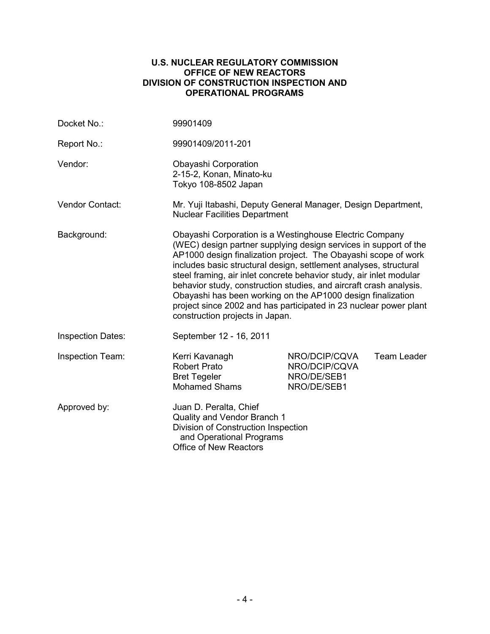#### **U.S. NUCLEAR REGULATORY COMMISSION OFFICE OF NEW REACTORS DIVISION OF CONSTRUCTION INSPECTION AND OPERATIONAL PROGRAMS**

| Docket No.:              | 99901409                                                                                                                                                                                                                                                                                                                                                                                                                                                                                                                                                                               |  |                    |  |  |
|--------------------------|----------------------------------------------------------------------------------------------------------------------------------------------------------------------------------------------------------------------------------------------------------------------------------------------------------------------------------------------------------------------------------------------------------------------------------------------------------------------------------------------------------------------------------------------------------------------------------------|--|--------------------|--|--|
| Report No.:              | 99901409/2011-201                                                                                                                                                                                                                                                                                                                                                                                                                                                                                                                                                                      |  |                    |  |  |
| Vendor:                  | Obayashi Corporation<br>2-15-2, Konan, Minato-ku<br>Tokyo 108-8502 Japan                                                                                                                                                                                                                                                                                                                                                                                                                                                                                                               |  |                    |  |  |
| Vendor Contact:          | Mr. Yuji Itabashi, Deputy General Manager, Design Department,<br><b>Nuclear Facilities Department</b>                                                                                                                                                                                                                                                                                                                                                                                                                                                                                  |  |                    |  |  |
| Background:              | Obayashi Corporation is a Westinghouse Electric Company<br>(WEC) design partner supplying design services in support of the<br>AP1000 design finalization project. The Obayashi scope of work<br>includes basic structural design, settlement analyses, structural<br>steel framing, air inlet concrete behavior study, air inlet modular<br>behavior study, construction studies, and aircraft crash analysis.<br>Obayashi has been working on the AP1000 design finalization<br>project since 2002 and has participated in 23 nuclear power plant<br>construction projects in Japan. |  |                    |  |  |
| <b>Inspection Dates:</b> | September 12 - 16, 2011                                                                                                                                                                                                                                                                                                                                                                                                                                                                                                                                                                |  |                    |  |  |
| <b>Inspection Team:</b>  | NRO/DCIP/CQVA<br>Kerri Kavanagh<br><b>Robert Prato</b><br>NRO/DCIP/CQVA<br>NRO/DE/SEB1<br><b>Bret Tegeler</b><br><b>Mohamed Shams</b><br>NRO/DE/SEB1                                                                                                                                                                                                                                                                                                                                                                                                                                   |  | <b>Team Leader</b> |  |  |
| Approved by:             | Juan D. Peralta, Chief<br>Quality and Vendor Branch 1<br>Division of Construction Inspection<br>and Operational Programs<br><b>Office of New Reactors</b>                                                                                                                                                                                                                                                                                                                                                                                                                              |  |                    |  |  |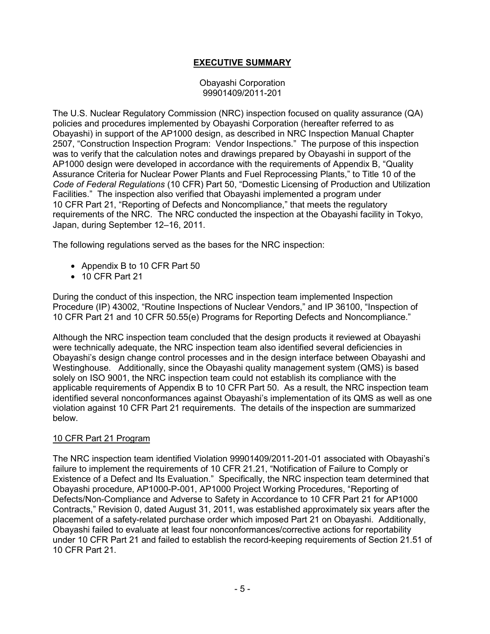# **EXECUTIVE SUMMARY**

#### Obayashi Corporation 99901409/2011-201

The U.S. Nuclear Regulatory Commission (NRC) inspection focused on quality assurance (QA) policies and procedures implemented by Obayashi Corporation (hereafter referred to as Obayashi) in support of the AP1000 design, as described in NRC Inspection Manual Chapter 2507, "Construction Inspection Program: Vendor Inspections." The purpose of this inspection was to verify that the calculation notes and drawings prepared by Obayashi in support of the AP1000 design were developed in accordance with the requirements of Appendix B, "Quality Assurance Criteria for Nuclear Power Plants and Fuel Reprocessing Plants," to Title 10 of the *Code of Federal Regulations* (10 CFR) Part 50, "Domestic Licensing of Production and Utilization Facilities." The inspection also verified that Obayashi implemented a program under 10 CFR Part 21, "Reporting of Defects and Noncompliance," that meets the regulatory requirements of the NRC. The NRC conducted the inspection at the Obayashi facility in Tokyo, Japan, during September 12–16, 2011.

The following regulations served as the bases for the NRC inspection:

- Appendix B to 10 CFR Part 50
- 10 CFR Part 21

During the conduct of this inspection, the NRC inspection team implemented Inspection Procedure (IP) 43002, "Routine Inspections of Nuclear Vendors," and IP 36100, "Inspection of 10 CFR Part 21 and 10 CFR 50.55(e) Programs for Reporting Defects and Noncompliance."

Although the NRC inspection team concluded that the design products it reviewed at Obayashi were technically adequate, the NRC inspection team also identified several deficiencies in Obayashi's design change control processes and in the design interface between Obayashi and Westinghouse. Additionally, since the Obayashi quality management system (QMS) is based solely on ISO 9001, the NRC inspection team could not establish its compliance with the applicable requirements of Appendix B to 10 CFR Part 50. As a result, the NRC inspection team identified several nonconformances against Obayashi's implementation of its QMS as well as one violation against 10 CFR Part 21 requirements. The details of the inspection are summarized below.

# 10 CFR Part 21 Program

The NRC inspection team identified Violation 99901409/2011-201-01 associated with Obayashi's failure to implement the requirements of 10 CFR 21.21, "Notification of Failure to Comply or Existence of a Defect and Its Evaluation." Specifically, the NRC inspection team determined that Obayashi procedure, AP1000-P-001, AP1000 Project Working Procedures, "Reporting of Defects/Non-Compliance and Adverse to Safety in Accordance to 10 CFR Part 21 for AP1000 Contracts," Revision 0, dated August 31, 2011, was established approximately six years after the placement of a safety-related purchase order which imposed Part 21 on Obayashi. Additionally, Obayashi failed to evaluate at least four nonconformances/corrective actions for reportability under 10 CFR Part 21 and failed to establish the record-keeping requirements of Section 21.51 of 10 CFR Part 21.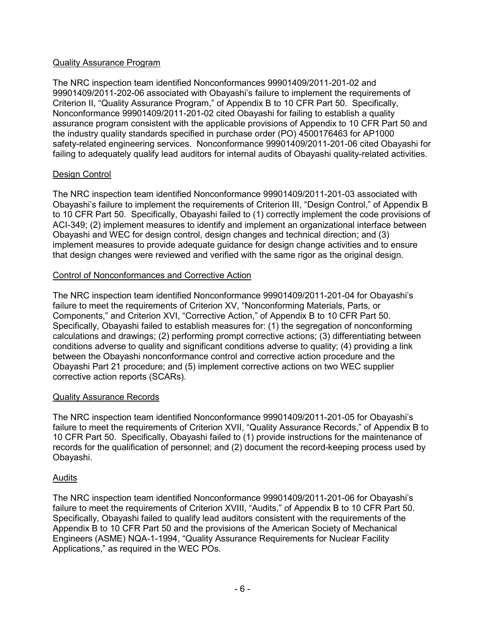# Quality Assurance Program

The NRC inspection team identified Nonconformances 99901409/2011-201-02 and 99901409/2011-202-06 associated with Obayashi's failure to implement the requirements of Criterion II, "Quality Assurance Program," of Appendix B to 10 CFR Part 50. Specifically, Nonconformance 99901409/2011-201-02 cited Obayashi for failing to establish a quality assurance program consistent with the applicable provisions of Appendix to 10 CFR Part 50 and the industry quality standards specified in purchase order (PO) 4500176463 for AP1000 safety-related engineering services. Nonconformance 99901409/2011-201-06 cited Obayashi for failing to adequately qualify lead auditors for internal audits of Obayashi quality-related activities.

# Design Control

The NRC inspection team identified Nonconformance 99901409/2011-201-03 associated with Obayashi's failure to implement the requirements of Criterion III, "Design Control," of Appendix B to 10 CFR Part 50. Specifically, Obayashi failed to (1) correctly implement the code provisions of ACI-349; (2) implement measures to identify and implement an organizational interface between Obayashi and WEC for design control, design changes and technical direction; and (3) implement measures to provide adequate guidance for design change activities and to ensure that design changes were reviewed and verified with the same rigor as the original design.

# Control of Nonconformances and Corrective Action

The NRC inspection team identified Nonconformance 99901409/2011-201-04 for Obayashi's failure to meet the requirements of Criterion XV, "Nonconforming Materials, Parts, or Components," and Criterion XVI, "Corrective Action," of Appendix B to 10 CFR Part 50. Specifically, Obayashi failed to establish measures for: (1) the segregation of nonconforming calculations and drawings; (2) performing prompt corrective actions; (3) differentiating between conditions adverse to quality and significant conditions adverse to quality; (4) providing a link between the Obayashi nonconformance control and corrective action procedure and the Obayashi Part 21 procedure; and (5) implement corrective actions on two WEC supplier corrective action reports (SCARs).

# Quality Assurance Records

The NRC inspection team identified Nonconformance 99901409/2011-201-05 for Obayashi's failure to meet the requirements of Criterion XVII, "Quality Assurance Records," of Appendix B to 10 CFR Part 50. Specifically, Obayashi failed to (1) provide instructions for the maintenance of records for the qualification of personnel; and (2) document the record-keeping process used by Obayashi.

# Audits

The NRC inspection team identified Nonconformance 99901409/2011-201-06 for Obayashi's failure to meet the requirements of Criterion XVIII, "Audits," of Appendix B to 10 CFR Part 50. Specifically, Obayashi failed to qualify lead auditors consistent with the requirements of the Appendix B to 10 CFR Part 50 and the provisions of the American Society of Mechanical Engineers (ASME) NQA-1-1994, "Quality Assurance Requirements for Nuclear Facility Applications," as required in the WEC POs.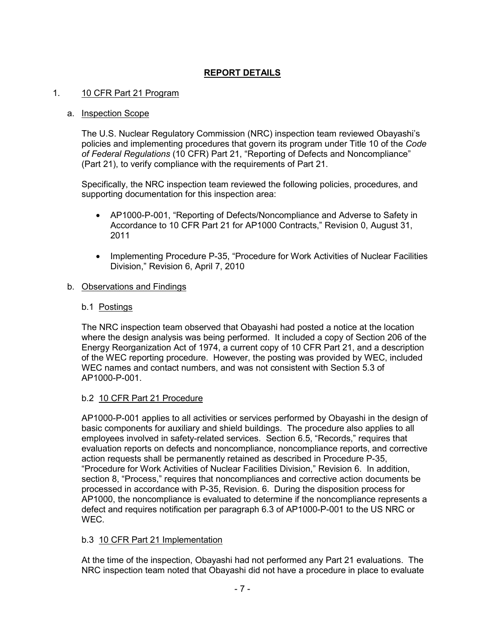# **REPORT DETAILS**

# 1. 10 CFR Part 21 Program

#### a. Inspection Scope

The U.S. Nuclear Regulatory Commission (NRC) inspection team reviewed Obayashi's policies and implementing procedures that govern its program under Title 10 of the *Code of Federal Regulations* (10 CFR) Part 21, "Reporting of Defects and Noncompliance" (Part 21), to verify compliance with the requirements of Part 21.

Specifically, the NRC inspection team reviewed the following policies, procedures, and supporting documentation for this inspection area:

- AP1000-P-001, "Reporting of Defects/Noncompliance and Adverse to Safety in Accordance to 10 CFR Part 21 for AP1000 Contracts," Revision 0, August 31, 2011
- Implementing Procedure P-35, "Procedure for Work Activities of Nuclear Facilities Division," Revision 6, April 7, 2010

# b. Observations and Findings

# b.1 Postings

The NRC inspection team observed that Obayashi had posted a notice at the location where the design analysis was being performed. It included a copy of Section 206 of the Energy Reorganization Act of 1974, a current copy of 10 CFR Part 21, and a description of the WEC reporting procedure. However, the posting was provided by WEC, included WEC names and contact numbers, and was not consistent with Section 5.3 of AP1000-P-001.

# b.2 10 CFR Part 21 Procedure

AP1000-P-001 applies to all activities or services performed by Obayashi in the design of basic components for auxiliary and shield buildings. The procedure also applies to all employees involved in safety-related services. Section 6.5, "Records," requires that evaluation reports on defects and noncompliance, noncompliance reports, and corrective action requests shall be permanently retained as described in Procedure P-35, "Procedure for Work Activities of Nuclear Facilities Division," Revision 6. In addition, section 8, "Process," requires that noncompliances and corrective action documents be processed in accordance with P-35, Revision. 6. During the disposition process for AP1000, the noncompliance is evaluated to determine if the noncompliance represents a defect and requires notification per paragraph 6.3 of AP1000-P-001 to the US NRC or WEC.

# b.3 10 CFR Part 21 Implementation

At the time of the inspection, Obayashi had not performed any Part 21 evaluations. The NRC inspection team noted that Obayashi did not have a procedure in place to evaluate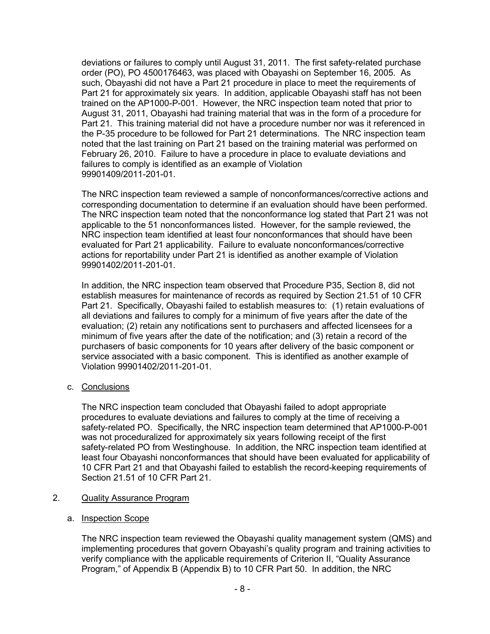deviations or failures to comply until August 31, 2011. The first safety-related purchase order (PO), PO 4500176463, was placed with Obayashi on September 16, 2005. As such, Obayashi did not have a Part 21 procedure in place to meet the requirements of Part 21 for approximately six years. In addition, applicable Obayashi staff has not been trained on the AP1000-P-001. However, the NRC inspection team noted that prior to August 31, 2011, Obayashi had training material that was in the form of a procedure for Part 21. This training material did not have a procedure number nor was it referenced in the P-35 procedure to be followed for Part 21 determinations. The NRC inspection team noted that the last training on Part 21 based on the training material was performed on February 26, 2010. Failure to have a procedure in place to evaluate deviations and failures to comply is identified as an example of Violation 99901409/2011-201-01.

The NRC inspection team reviewed a sample of nonconformances/corrective actions and corresponding documentation to determine if an evaluation should have been performed. The NRC inspection team noted that the nonconformance log stated that Part 21 was not applicable to the 51 nonconformances listed. However, for the sample reviewed, the NRC inspection team identified at least four nonconformances that should have been evaluated for Part 21 applicability. Failure to evaluate nonconformances/corrective actions for reportability under Part 21 is identified as another example of Violation 99901402/2011-201-01.

In addition, the NRC inspection team observed that Procedure P35, Section 8, did not establish measures for maintenance of records as required by Section 21.51 of 10 CFR Part 21. Specifically, Obayashi failed to establish measures to: (1) retain evaluations of all deviations and failures to comply for a minimum of five years after the date of the evaluation; (2) retain any notifications sent to purchasers and affected licensees for a minimum of five years after the date of the notification; and (3) retain a record of the purchasers of basic components for 10 years after delivery of the basic component or service associated with a basic component. This is identified as another example of Violation 99901402/2011-201-01.

# c. Conclusions

The NRC inspection team concluded that Obayashi failed to adopt appropriate procedures to evaluate deviations and failures to comply at the time of receiving a safety-related PO. Specifically, the NRC inspection team determined that AP1000-P-001 was not proceduralized for approximately six years following receipt of the first safety-related PO from Westinghouse. In addition, the NRC inspection team identified at least four Obayashi nonconformances that should have been evaluated for applicability of 10 CFR Part 21 and that Obayashi failed to establish the record-keeping requirements of Section 21.51 of 10 CFR Part 21.

# 2. Quality Assurance Program

# a. Inspection Scope

The NRC inspection team reviewed the Obayashi quality management system (QMS) and implementing procedures that govern Obayashi's quality program and training activities to verify compliance with the applicable requirements of Criterion II, "Quality Assurance Program," of Appendix B (Appendix B) to 10 CFR Part 50. In addition, the NRC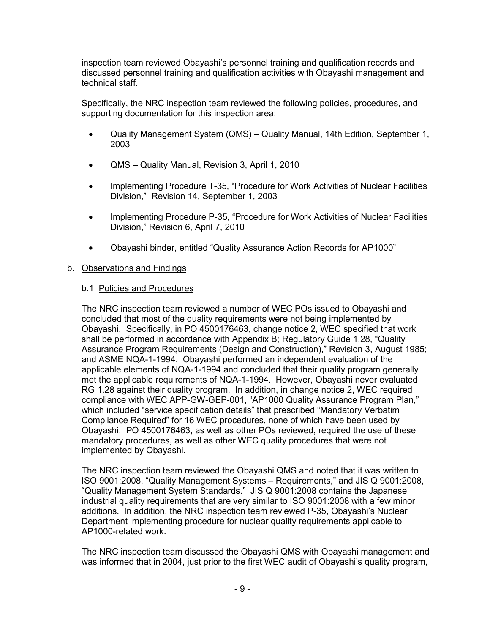inspection team reviewed Obayashi's personnel training and qualification records and discussed personnel training and qualification activities with Obayashi management and technical staff.

Specifically, the NRC inspection team reviewed the following policies, procedures, and supporting documentation for this inspection area:

- Quality Management System (QMS) Quality Manual, 14th Edition, September 1, 2003
- QMS Quality Manual, Revision 3, April 1, 2010
- Implementing Procedure T-35, "Procedure for Work Activities of Nuclear Facilities Division," Revision 14, September 1, 2003
- Implementing Procedure P-35, "Procedure for Work Activities of Nuclear Facilities Division," Revision 6, April 7, 2010
- Obayashi binder, entitled "Quality Assurance Action Records for AP1000"

#### b. Observations and Findings

#### b.1 Policies and Procedures

The NRC inspection team reviewed a number of WEC POs issued to Obayashi and concluded that most of the quality requirements were not being implemented by Obayashi. Specifically, in PO 4500176463, change notice 2, WEC specified that work shall be performed in accordance with Appendix B; Regulatory Guide 1.28, "Quality Assurance Program Requirements (Design and Construction)," Revision 3, August 1985; and ASME NQA-1-1994. Obayashi performed an independent evaluation of the applicable elements of NQA-1-1994 and concluded that their quality program generally met the applicable requirements of NQA-1-1994. However, Obayashi never evaluated RG 1.28 against their quality program. In addition, in change notice 2, WEC required compliance with WEC APP-GW-GEP-001, "AP1000 Quality Assurance Program Plan," which included "service specification details" that prescribed "Mandatory Verbatim Compliance Required" for 16 WEC procedures, none of which have been used by Obayashi. PO 4500176463, as well as other POs reviewed, required the use of these mandatory procedures, as well as other WEC quality procedures that were not implemented by Obayashi.

The NRC inspection team reviewed the Obayashi QMS and noted that it was written to ISO 9001:2008, "Quality Management Systems – Requirements," and JIS Q 9001:2008, "Quality Management System Standards." JIS Q 9001:2008 contains the Japanese industrial quality requirements that are very similar to ISO 9001:2008 with a few minor additions. In addition, the NRC inspection team reviewed P-35, Obayashi's Nuclear Department implementing procedure for nuclear quality requirements applicable to AP1000-related work.

The NRC inspection team discussed the Obayashi QMS with Obayashi management and was informed that in 2004, just prior to the first WEC audit of Obayashi's quality program,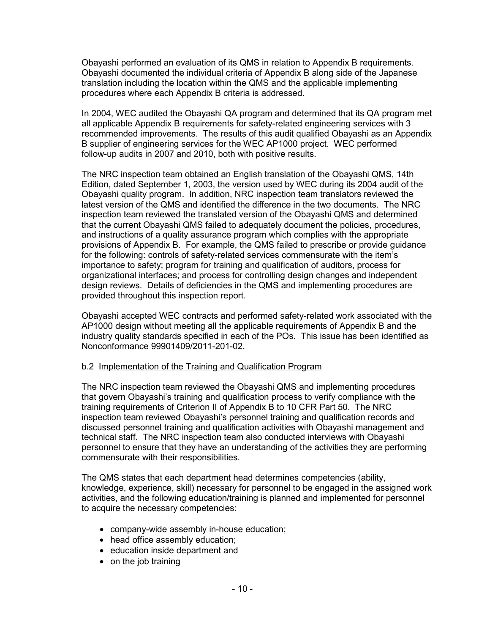Obayashi performed an evaluation of its QMS in relation to Appendix B requirements. Obayashi documented the individual criteria of Appendix B along side of the Japanese translation including the location within the QMS and the applicable implementing procedures where each Appendix B criteria is addressed.

In 2004, WEC audited the Obayashi QA program and determined that its QA program met all applicable Appendix B requirements for safety-related engineering services with 3 recommended improvements. The results of this audit qualified Obayashi as an Appendix B supplier of engineering services for the WEC AP1000 project. WEC performed follow-up audits in 2007 and 2010, both with positive results.

The NRC inspection team obtained an English translation of the Obayashi QMS, 14th Edition, dated September 1, 2003, the version used by WEC during its 2004 audit of the Obayashi quality program. In addition, NRC inspection team translators reviewed the latest version of the QMS and identified the difference in the two documents. The NRC inspection team reviewed the translated version of the Obayashi QMS and determined that the current Obayashi QMS failed to adequately document the policies, procedures, and instructions of a quality assurance program which complies with the appropriate provisions of Appendix B. For example, the QMS failed to prescribe or provide guidance for the following: controls of safety-related services commensurate with the item's importance to safety; program for training and qualification of auditors, process for organizational interfaces; and process for controlling design changes and independent design reviews. Details of deficiencies in the QMS and implementing procedures are provided throughout this inspection report.

Obayashi accepted WEC contracts and performed safety-related work associated with the AP1000 design without meeting all the applicable requirements of Appendix B and the industry quality standards specified in each of the POs. This issue has been identified as Nonconformance 99901409/2011-201-02.

# b.2 Implementation of the Training and Qualification Program

The NRC inspection team reviewed the Obayashi QMS and implementing procedures that govern Obayashi's training and qualification process to verify compliance with the training requirements of Criterion II of Appendix B to 10 CFR Part 50. The NRC inspection team reviewed Obayashi's personnel training and qualification records and discussed personnel training and qualification activities with Obayashi management and technical staff. The NRC inspection team also conducted interviews with Obayashi personnel to ensure that they have an understanding of the activities they are performing commensurate with their responsibilities.

The QMS states that each department head determines competencies (ability, knowledge, experience, skill) necessary for personnel to be engaged in the assigned work activities, and the following education/training is planned and implemented for personnel to acquire the necessary competencies:

- company-wide assembly in-house education;
- head office assembly education;
- education inside department and
- on the job training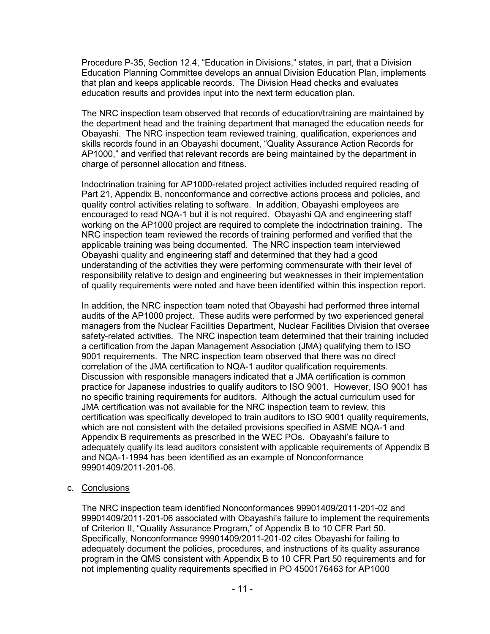Procedure P-35, Section 12.4, "Education in Divisions," states, in part, that a Division Education Planning Committee develops an annual Division Education Plan, implements that plan and keeps applicable records. The Division Head checks and evaluates education results and provides input into the next term education plan.

The NRC inspection team observed that records of education/training are maintained by the department head and the training department that managed the education needs for Obayashi. The NRC inspection team reviewed training, qualification, experiences and skills records found in an Obayashi document, "Quality Assurance Action Records for AP1000," and verified that relevant records are being maintained by the department in charge of personnel allocation and fitness.

Indoctrination training for AP1000-related project activities included required reading of Part 21, Appendix B, nonconformance and corrective actions process and policies, and quality control activities relating to software. In addition, Obayashi employees are encouraged to read NQA-1 but it is not required. Obayashi QA and engineering staff working on the AP1000 project are required to complete the indoctrination training. The NRC inspection team reviewed the records of training performed and verified that the applicable training was being documented. The NRC inspection team interviewed Obayashi quality and engineering staff and determined that they had a good understanding of the activities they were performing commensurate with their level of responsibility relative to design and engineering but weaknesses in their implementation of quality requirements were noted and have been identified within this inspection report.

In addition, the NRC inspection team noted that Obayashi had performed three internal audits of the AP1000 project. These audits were performed by two experienced general managers from the Nuclear Facilities Department, Nuclear Facilities Division that oversee safety-related activities. The NRC inspection team determined that their training included a certification from the Japan Management Association (JMA) qualifying them to ISO 9001 requirements. The NRC inspection team observed that there was no direct correlation of the JMA certification to NQA-1 auditor qualification requirements. Discussion with responsible managers indicated that a JMA certification is common practice for Japanese industries to qualify auditors to ISO 9001. However, ISO 9001 has no specific training requirements for auditors. Although the actual curriculum used for JMA certification was not available for the NRC inspection team to review, this certification was specifically developed to train auditors to ISO 9001 quality requirements, which are not consistent with the detailed provisions specified in ASME NQA-1 and Appendix B requirements as prescribed in the WEC POs. Obayashi's failure to adequately qualify its lead auditors consistent with applicable requirements of Appendix B and NQA-1-1994 has been identified as an example of Nonconformance 99901409/2011-201-06.

c. Conclusions

The NRC inspection team identified Nonconformances 99901409/2011-201-02 and 99901409/2011-201-06 associated with Obayashi's failure to implement the requirements of Criterion II, "Quality Assurance Program," of Appendix B to 10 CFR Part 50. Specifically, Nonconformance 99901409/2011-201-02 cites Obayashi for failing to adequately document the policies, procedures, and instructions of its quality assurance program in the QMS consistent with Appendix B to 10 CFR Part 50 requirements and for not implementing quality requirements specified in PO 4500176463 for AP1000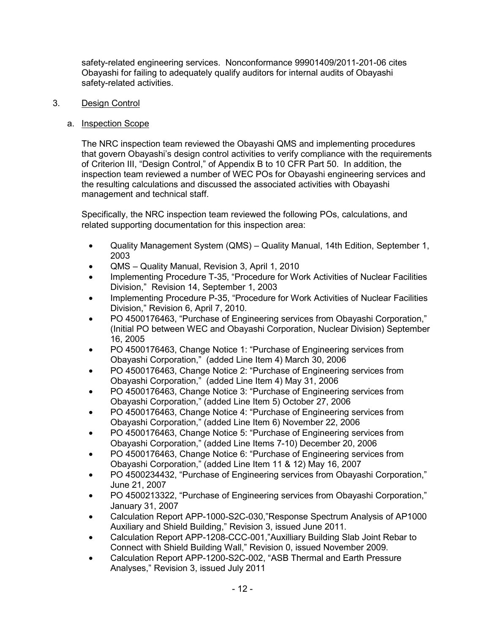safety-related engineering services. Nonconformance 99901409/2011-201-06 cites Obayashi for failing to adequately qualify auditors for internal audits of Obayashi safety-related activities.

# 3. Design Control

# a. Inspection Scope

The NRC inspection team reviewed the Obayashi QMS and implementing procedures that govern Obayashi's design control activities to verify compliance with the requirements of Criterion III, "Design Control," of Appendix B to 10 CFR Part 50. In addition, the inspection team reviewed a number of WEC POs for Obayashi engineering services and the resulting calculations and discussed the associated activities with Obayashi management and technical staff.

Specifically, the NRC inspection team reviewed the following POs, calculations, and related supporting documentation for this inspection area:

- Quality Management System (QMS) Quality Manual, 14th Edition, September 1, 2003
- QMS Quality Manual, Revision 3, April 1, 2010
- Implementing Procedure T-35, "Procedure for Work Activities of Nuclear Facilities Division," Revision 14, September 1, 2003
- Implementing Procedure P-35, "Procedure for Work Activities of Nuclear Facilities Division," Revision 6, April 7, 2010.
- PO 4500176463, "Purchase of Engineering services from Obayashi Corporation," (Initial PO between WEC and Obayashi Corporation, Nuclear Division) September 16, 2005
- PO 4500176463, Change Notice 1: "Purchase of Engineering services from Obayashi Corporation," (added Line Item 4) March 30, 2006
- PO 4500176463, Change Notice 2: "Purchase of Engineering services from Obayashi Corporation," (added Line Item 4) May 31, 2006
- PO 4500176463, Change Notice 3: "Purchase of Engineering services from Obayashi Corporation," (added Line Item 5) October 27, 2006
- PO 4500176463, Change Notice 4: "Purchase of Engineering services from Obayashi Corporation," (added Line Item 6) November 22, 2006
- PO 4500176463, Change Notice 5: "Purchase of Engineering services from Obayashi Corporation," (added Line Items 7-10) December 20, 2006
- PO 4500176463, Change Notice 6: "Purchase of Engineering services from Obayashi Corporation," (added Line Item 11 & 12) May 16, 2007
- PO 4500234432, "Purchase of Engineering services from Obayashi Corporation," June 21, 2007
- PO 4500213322, "Purchase of Engineering services from Obayashi Corporation," January 31, 2007
- Calculation Report APP-1000-S2C-030,"Response Spectrum Analysis of AP1000 Auxiliary and Shield Building," Revision 3, issued June 2011.
- Calculation Report APP-1208-CCC-001,"Auxilliary Building Slab Joint Rebar to Connect with Shield Building Wall," Revision 0, issued November 2009.
- Calculation Report APP-1200-S2C-002, "ASB Thermal and Earth Pressure Analyses," Revision 3, issued July 2011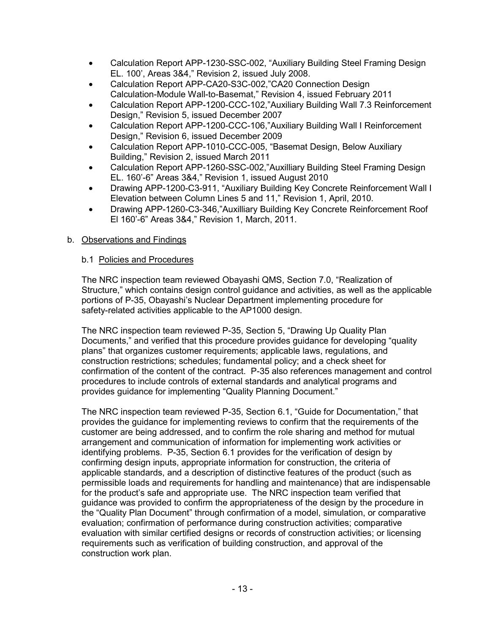- Calculation Report APP-1230-SSC-002, "Auxiliary Building Steel Framing Design EL. 100', Areas 3&4," Revision 2, issued July 2008.
- Calculation Report APP-CA20-S3C-002,"CA20 Connection Design Calculation-Module Wall-to-Basemat," Revision 4, issued February 2011
- Calculation Report APP-1200-CCC-102,"Auxiliary Building Wall 7.3 Reinforcement Design," Revision 5, issued December 2007
- Calculation Report APP-1200-CCC-106,"Auxiliary Building Wall I Reinforcement Design," Revision 6, issued December 2009
- Calculation Report APP-1010-CCC-005, "Basemat Design, Below Auxiliary Building," Revision 2, issued March 2011
- Calculation Report APP-1260-SSC-002,"Auxilliary Building Steel Framing Design EL. 160'-6" Areas 3&4," Revision 1, issued August 2010
- Drawing APP-1200-C3-911, "Auxiliary Building Key Concrete Reinforcement Wall I Elevation between Column Lines 5 and 11," Revision 1, April, 2010.
- Drawing APP-1260-C3-346,"Auxilliary Building Key Concrete Reinforcement Roof El 160'-6" Areas 3&4," Revision 1, March, 2011.

# b. Observations and Findings

# b.1 Policies and Procedures

The NRC inspection team reviewed Obayashi QMS, Section 7.0, "Realization of Structure," which contains design control guidance and activities, as well as the applicable portions of P-35, Obayashi's Nuclear Department implementing procedure for safety-related activities applicable to the AP1000 design.

The NRC inspection team reviewed P-35, Section 5, "Drawing Up Quality Plan Documents," and verified that this procedure provides guidance for developing "quality plans" that organizes customer requirements; applicable laws, regulations, and construction restrictions; schedules; fundamental policy; and a check sheet for confirmation of the content of the contract. P-35 also references management and control procedures to include controls of external standards and analytical programs and provides guidance for implementing "Quality Planning Document."

The NRC inspection team reviewed P-35, Section 6.1, "Guide for Documentation," that provides the guidance for implementing reviews to confirm that the requirements of the customer are being addressed, and to confirm the role sharing and method for mutual arrangement and communication of information for implementing work activities or identifying problems. P-35, Section 6.1 provides for the verification of design by confirming design inputs, appropriate information for construction, the criteria of applicable standards, and a description of distinctive features of the product (such as permissible loads and requirements for handling and maintenance) that are indispensable for the product's safe and appropriate use. The NRC inspection team verified that guidance was provided to confirm the appropriateness of the design by the procedure in the "Quality Plan Document" through confirmation of a model, simulation, or comparative evaluation; confirmation of performance during construction activities; comparative evaluation with similar certified designs or records of construction activities; or licensing requirements such as verification of building construction, and approval of the construction work plan.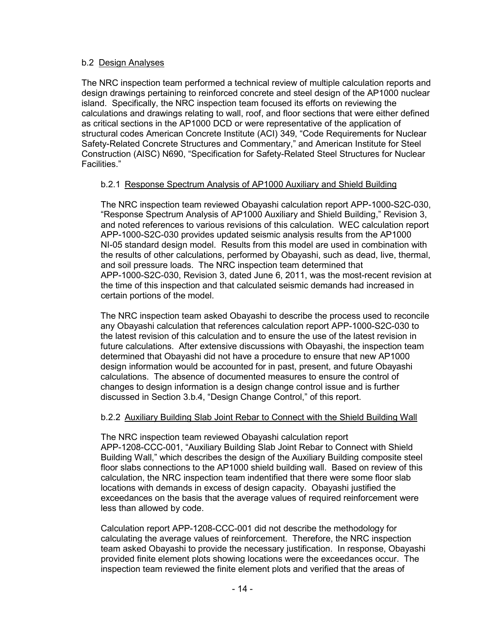# b.2 Design Analyses

The NRC inspection team performed a technical review of multiple calculation reports and design drawings pertaining to reinforced concrete and steel design of the AP1000 nuclear island. Specifically, the NRC inspection team focused its efforts on reviewing the calculations and drawings relating to wall, roof, and floor sections that were either defined as critical sections in the AP1000 DCD or were representative of the application of structural codes American Concrete Institute (ACI) 349, "Code Requirements for Nuclear Safety-Related Concrete Structures and Commentary," and American Institute for Steel Construction (AISC) N690, "Specification for Safety-Related Steel Structures for Nuclear Facilities."

# b.2.1 Response Spectrum Analysis of AP1000 Auxiliary and Shield Building

The NRC inspection team reviewed Obayashi calculation report APP-1000-S2C-030, "Response Spectrum Analysis of AP1000 Auxiliary and Shield Building," Revision 3, and noted references to various revisions of this calculation. WEC calculation report APP-1000-S2C-030 provides updated seismic analysis results from the AP1000 NI-05 standard design model. Results from this model are used in combination with the results of other calculations, performed by Obayashi, such as dead, live, thermal, and soil pressure loads. The NRC inspection team determined that APP-1000-S2C-030, Revision 3, dated June 6, 2011, was the most-recent revision at the time of this inspection and that calculated seismic demands had increased in certain portions of the model.

The NRC inspection team asked Obayashi to describe the process used to reconcile any Obayashi calculation that references calculation report APP-1000-S2C-030 to the latest revision of this calculation and to ensure the use of the latest revision in future calculations. After extensive discussions with Obayashi, the inspection team determined that Obayashi did not have a procedure to ensure that new AP1000 design information would be accounted for in past, present, and future Obayashi calculations. The absence of documented measures to ensure the control of changes to design information is a design change control issue and is further discussed in Section 3.b.4, "Design Change Control," of this report.

# b.2.2 Auxiliary Building Slab Joint Rebar to Connect with the Shield Building Wall

The NRC inspection team reviewed Obayashi calculation report APP-1208-CCC-001, "Auxiliary Building Slab Joint Rebar to Connect with Shield Building Wall," which describes the design of the Auxiliary Building composite steel floor slabs connections to the AP1000 shield building wall. Based on review of this calculation, the NRC inspection team indentified that there were some floor slab locations with demands in excess of design capacity. Obayashi justified the exceedances on the basis that the average values of required reinforcement were less than allowed by code.

Calculation report APP-1208-CCC-001 did not describe the methodology for calculating the average values of reinforcement. Therefore, the NRC inspection team asked Obayashi to provide the necessary justification. In response, Obayashi provided finite element plots showing locations were the exceedances occur. The inspection team reviewed the finite element plots and verified that the areas of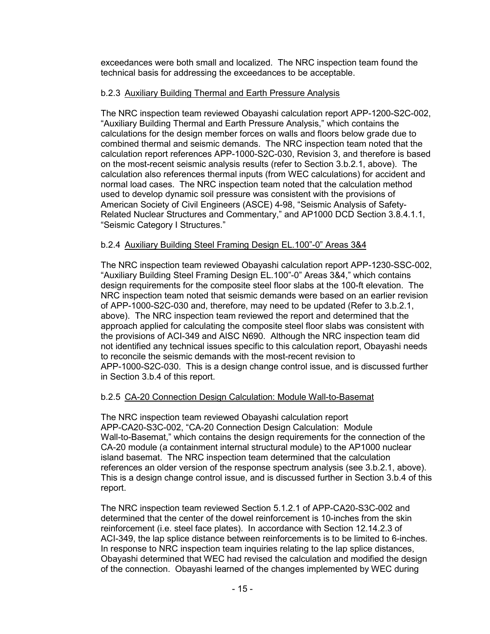exceedances were both small and localized. The NRC inspection team found the technical basis for addressing the exceedances to be acceptable.

# b.2.3 Auxiliary Building Thermal and Earth Pressure Analysis

The NRC inspection team reviewed Obayashi calculation report APP-1200-S2C-002, "Auxiliary Building Thermal and Earth Pressure Analysis," which contains the calculations for the design member forces on walls and floors below grade due to combined thermal and seismic demands. The NRC inspection team noted that the calculation report references APP-1000-S2C-030, Revision 3, and therefore is based on the most-recent seismic analysis results (refer to Section 3.b.2.1, above). The calculation also references thermal inputs (from WEC calculations) for accident and normal load cases. The NRC inspection team noted that the calculation method used to develop dynamic soil pressure was consistent with the provisions of American Society of Civil Engineers (ASCE) 4-98, "Seismic Analysis of Safety-Related Nuclear Structures and Commentary," and AP1000 DCD Section 3.8.4.1.1, "Seismic Category I Structures."

# b.2.4 Auxiliary Building Steel Framing Design EL.100"-0" Areas 3&4

The NRC inspection team reviewed Obayashi calculation report APP-1230-SSC-002, "Auxiliary Building Steel Framing Design EL.100"-0" Areas 3&4," which contains design requirements for the composite steel floor slabs at the 100-ft elevation. The NRC inspection team noted that seismic demands were based on an earlier revision of APP-1000-S2C-030 and, therefore, may need to be updated (Refer to 3.b.2.1, above). The NRC inspection team reviewed the report and determined that the approach applied for calculating the composite steel floor slabs was consistent with the provisions of ACI-349 and AISC N690. Although the NRC inspection team did not identified any technical issues specific to this calculation report, Obayashi needs to reconcile the seismic demands with the most-recent revision to APP-1000-S2C-030. This is a design change control issue, and is discussed further in Section 3.b.4 of this report.

# b.2.5 CA-20 Connection Design Calculation: Module Wall-to-Basemat

The NRC inspection team reviewed Obayashi calculation report APP-CA20-S3C-002, "CA-20 Connection Design Calculation: Module Wall-to-Basemat," which contains the design requirements for the connection of the CA-20 module (a containment internal structural module) to the AP1000 nuclear island basemat. The NRC inspection team determined that the calculation references an older version of the response spectrum analysis (see 3.b.2.1, above). This is a design change control issue, and is discussed further in Section 3.b.4 of this report.

The NRC inspection team reviewed Section 5.1.2.1 of APP-CA20-S3C-002 and determined that the center of the dowel reinforcement is 10-inches from the skin reinforcement (i.e. steel face plates). In accordance with Section 12.14.2.3 of ACI-349, the lap splice distance between reinforcements is to be limited to 6-inches. In response to NRC inspection team inquiries relating to the lap splice distances, Obayashi determined that WEC had revised the calculation and modified the design of the connection. Obayashi learned of the changes implemented by WEC during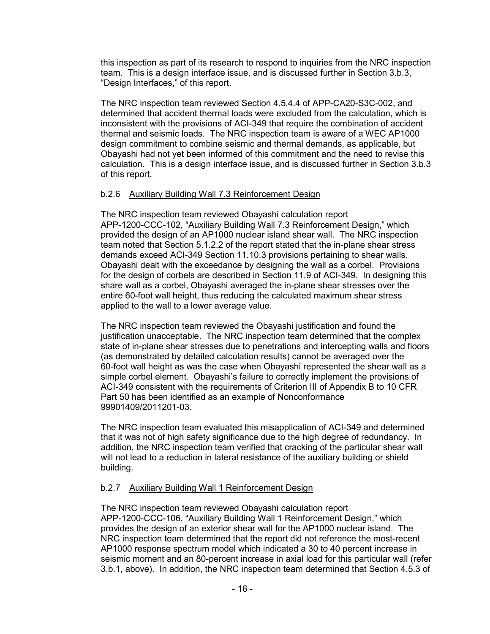this inspection as part of its research to respond to inquiries from the NRC inspection team. This is a design interface issue, and is discussed further in Section 3.b.3, "Design Interfaces," of this report.

The NRC inspection team reviewed Section 4.5.4.4 of APP-CA20-S3C-002, and determined that accident thermal loads were excluded from the calculation, which is inconsistent with the provisions of ACI-349 that require the combination of accident thermal and seismic loads. The NRC inspection team is aware of a WEC AP1000 design commitment to combine seismic and thermal demands, as applicable, but Obayashi had not yet been informed of this commitment and the need to revise this calculation. This is a design interface issue, and is discussed further in Section 3.b.3 of this report.

# b.2.6 Auxiliary Building Wall 7.3 Reinforcement Design

The NRC inspection team reviewed Obayashi calculation report APP-1200-CCC-102, "Auxiliary Building Wall 7.3 Reinforcement Design," which provided the design of an AP1000 nuclear island shear wall. The NRC inspection team noted that Section 5.1.2.2 of the report stated that the in-plane shear stress demands exceed ACI-349 Section 11.10.3 provisions pertaining to shear walls. Obayashi dealt with the exceedance by designing the wall as a corbel. Provisions for the design of corbels are described in Section 11.9 of ACI-349. In designing this share wall as a corbel, Obayashi averaged the in-plane shear stresses over the entire 60-foot wall height, thus reducing the calculated maximum shear stress applied to the wall to a lower average value.

The NRC inspection team reviewed the Obayashi justification and found the justification unacceptable. The NRC inspection team determined that the complex state of in-plane shear stresses due to penetrations and intercepting walls and floors (as demonstrated by detailed calculation results) cannot be averaged over the 60-foot wall height as was the case when Obayashi represented the shear wall as a simple corbel element. Obayashi's failure to correctly implement the provisions of ACI-349 consistent with the requirements of Criterion III of Appendix B to 10 CFR Part 50 has been identified as an example of Nonconformance 99901409/2011201-03.

The NRC inspection team evaluated this misapplication of ACI-349 and determined that it was not of high safety significance due to the high degree of redundancy. In addition, the NRC inspection team verified that cracking of the particular shear wall will not lead to a reduction in lateral resistance of the auxiliary building or shield building.

# b.2.7 Auxiliary Building Wall 1 Reinforcement Design

The NRC inspection team reviewed Obayashi calculation report APP-1200-CCC-106, "Auxiliary Building Wall 1 Reinforcement Design," which provides the design of an exterior shear wall for the AP1000 nuclear island. The NRC inspection team determined that the report did not reference the most-recent AP1000 response spectrum model which indicated a 30 to 40 percent increase in seismic moment and an 80-percent increase in axial load for this particular wall (refer 3.b.1, above). In addition, the NRC inspection team determined that Section 4.5.3 of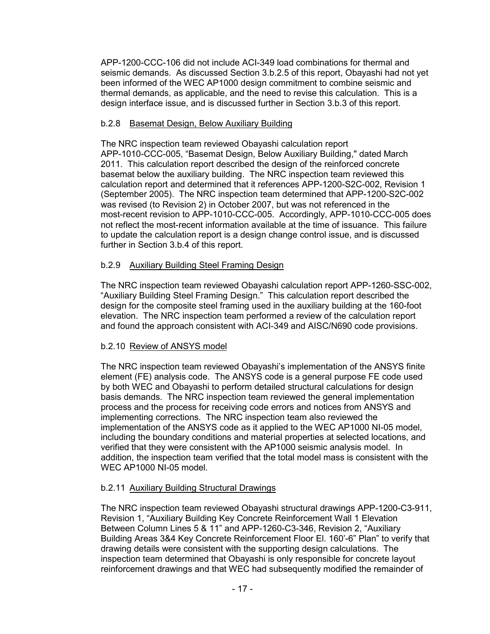APP-1200-CCC-106 did not include ACI-349 load combinations for thermal and seismic demands. As discussed Section 3.b.2.5 of this report, Obayashi had not yet been informed of the WEC AP1000 design commitment to combine seismic and thermal demands, as applicable, and the need to revise this calculation. This is a design interface issue, and is discussed further in Section 3.b.3 of this report.

# b.2.8 Basemat Design, Below Auxiliary Building

The NRC inspection team reviewed Obayashi calculation report APP-1010-CCC-005, "Basemat Design, Below Auxiliary Building," dated March 2011. This calculation report described the design of the reinforced concrete basemat below the auxiliary building. The NRC inspection team reviewed this calculation report and determined that it references APP-1200-S2C-002, Revision 1 (September 2005). The NRC inspection team determined that APP-1200-S2C-002 was revised (to Revision 2) in October 2007, but was not referenced in the most-recent revision to APP-1010-CCC-005. Accordingly, APP-1010-CCC-005 does not reflect the most-recent information available at the time of issuance. This failure to update the calculation report is a design change control issue, and is discussed further in Section 3.b.4 of this report.

# b.2.9 Auxiliary Building Steel Framing Design

The NRC inspection team reviewed Obayashi calculation report APP-1260-SSC-002, "Auxiliary Building Steel Framing Design." This calculation report described the design for the composite steel framing used in the auxiliary building at the 160-foot elevation. The NRC inspection team performed a review of the calculation report and found the approach consistent with ACI-349 and AISC/N690 code provisions.

# b.2.10 Review of ANSYS model

The NRC inspection team reviewed Obayashi's implementation of the ANSYS finite element (FE) analysis code. The ANSYS code is a general purpose FE code used by both WEC and Obayashi to perform detailed structural calculations for design basis demands. The NRC inspection team reviewed the general implementation process and the process for receiving code errors and notices from ANSYS and implementing corrections. The NRC inspection team also reviewed the implementation of the ANSYS code as it applied to the WEC AP1000 NI-05 model, including the boundary conditions and material properties at selected locations, and verified that they were consistent with the AP1000 seismic analysis model. In addition, the inspection team verified that the total model mass is consistent with the WEC AP1000 NI-05 model.

# b.2.11 Auxiliary Building Structural Drawings

The NRC inspection team reviewed Obayashi structural drawings APP-1200-C3-911, Revision 1, "Auxiliary Building Key Concrete Reinforcement Wall 1 Elevation Between Column Lines 5 & 11" and APP-1260-C3-346, Revision 2, "Auxiliary Building Areas 3&4 Key Concrete Reinforcement Floor El. 160'-6" Plan" to verify that drawing details were consistent with the supporting design calculations. The inspection team determined that Obayashi is only responsible for concrete layout reinforcement drawings and that WEC had subsequently modified the remainder of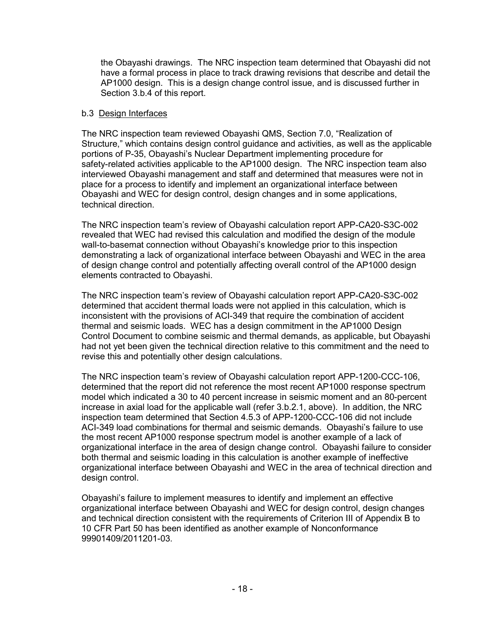the Obayashi drawings. The NRC inspection team determined that Obayashi did not have a formal process in place to track drawing revisions that describe and detail the AP1000 design. This is a design change control issue, and is discussed further in Section 3.b.4 of this report.

# b.3 Design Interfaces

The NRC inspection team reviewed Obayashi QMS, Section 7.0, "Realization of Structure," which contains design control guidance and activities, as well as the applicable portions of P-35, Obayashi's Nuclear Department implementing procedure for safety-related activities applicable to the AP1000 design. The NRC inspection team also interviewed Obayashi management and staff and determined that measures were not in place for a process to identify and implement an organizational interface between Obayashi and WEC for design control, design changes and in some applications, technical direction.

The NRC inspection team's review of Obayashi calculation report APP-CA20-S3C-002 revealed that WEC had revised this calculation and modified the design of the module wall-to-basemat connection without Obayashi's knowledge prior to this inspection demonstrating a lack of organizational interface between Obayashi and WEC in the area of design change control and potentially affecting overall control of the AP1000 design elements contracted to Obayashi.

The NRC inspection team's review of Obayashi calculation report APP-CA20-S3C-002 determined that accident thermal loads were not applied in this calculation, which is inconsistent with the provisions of ACI-349 that require the combination of accident thermal and seismic loads. WEC has a design commitment in the AP1000 Design Control Document to combine seismic and thermal demands, as applicable, but Obayashi had not yet been given the technical direction relative to this commitment and the need to revise this and potentially other design calculations.

The NRC inspection team's review of Obayashi calculation report APP-1200-CCC-106, determined that the report did not reference the most recent AP1000 response spectrum model which indicated a 30 to 40 percent increase in seismic moment and an 80-percent increase in axial load for the applicable wall (refer 3.b.2.1, above). In addition, the NRC inspection team determined that Section 4.5.3 of APP-1200-CCC-106 did not include ACI-349 load combinations for thermal and seismic demands. Obayashi's failure to use the most recent AP1000 response spectrum model is another example of a lack of organizational interface in the area of design change control. Obayashi failure to consider both thermal and seismic loading in this calculation is another example of ineffective organizational interface between Obayashi and WEC in the area of technical direction and design control.

Obayashi's failure to implement measures to identify and implement an effective organizational interface between Obayashi and WEC for design control, design changes and technical direction consistent with the requirements of Criterion III of Appendix B to 10 CFR Part 50 has been identified as another example of Nonconformance 99901409/2011201-03.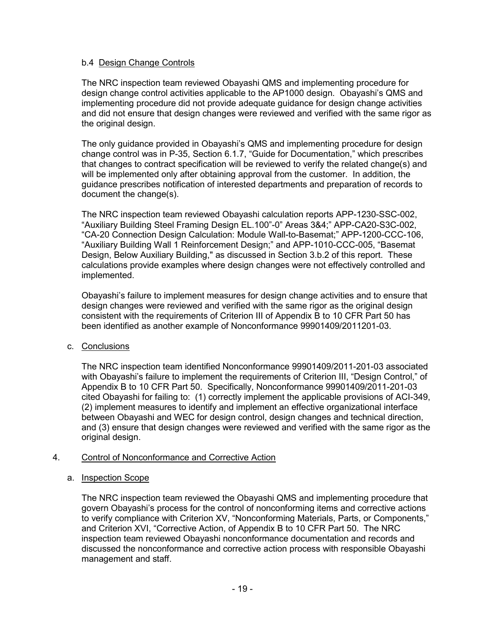# b.4 Design Change Controls

The NRC inspection team reviewed Obayashi QMS and implementing procedure for design change control activities applicable to the AP1000 design. Obayashi's QMS and implementing procedure did not provide adequate guidance for design change activities and did not ensure that design changes were reviewed and verified with the same rigor as the original design.

The only guidance provided in Obayashi's QMS and implementing procedure for design change control was in P-35, Section 6.1.7, "Guide for Documentation," which prescribes that changes to contract specification will be reviewed to verify the related change(s) and will be implemented only after obtaining approval from the customer. In addition, the guidance prescribes notification of interested departments and preparation of records to document the change(s).

The NRC inspection team reviewed Obayashi calculation reports APP-1230-SSC-002, "Auxiliary Building Steel Framing Design EL.100"-0" Areas 3&4;" APP-CA20-S3C-002, "CA-20 Connection Design Calculation: Module Wall-to-Basemat;" APP-1200-CCC-106, "Auxiliary Building Wall 1 Reinforcement Design;" and APP-1010-CCC-005, "Basemat Design, Below Auxiliary Building," as discussed in Section 3.b.2 of this report. These calculations provide examples where design changes were not effectively controlled and implemented.

Obayashi's failure to implement measures for design change activities and to ensure that design changes were reviewed and verified with the same rigor as the original design consistent with the requirements of Criterion III of Appendix B to 10 CFR Part 50 has been identified as another example of Nonconformance 99901409/2011201-03.

# c. Conclusions

The NRC inspection team identified Nonconformance 99901409/2011-201-03 associated with Obayashi's failure to implement the requirements of Criterion III, "Design Control," of Appendix B to 10 CFR Part 50. Specifically, Nonconformance 99901409/2011-201-03 cited Obayashi for failing to: (1) correctly implement the applicable provisions of ACI-349, (2) implement measures to identify and implement an effective organizational interface between Obayashi and WEC for design control, design changes and technical direction, and (3) ensure that design changes were reviewed and verified with the same rigor as the original design.

# 4. Control of Nonconformance and Corrective Action

# a. Inspection Scope

The NRC inspection team reviewed the Obayashi QMS and implementing procedure that govern Obayashi's process for the control of nonconforming items and corrective actions to verify compliance with Criterion XV, "Nonconforming Materials, Parts, or Components," and Criterion XVI, "Corrective Action, of Appendix B to 10 CFR Part 50. The NRC inspection team reviewed Obayashi nonconformance documentation and records and discussed the nonconformance and corrective action process with responsible Obayashi management and staff.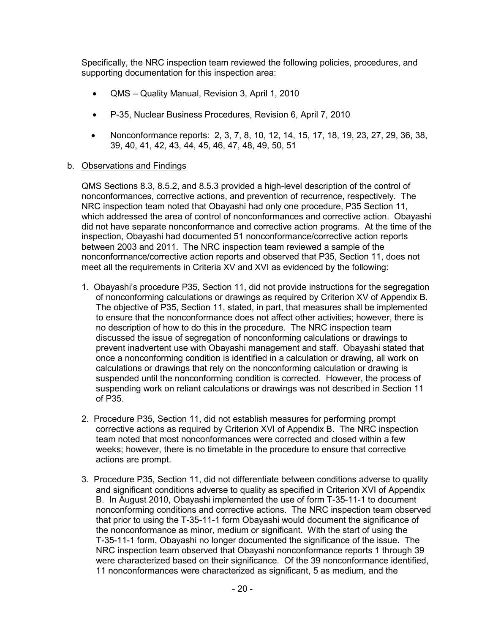Specifically, the NRC inspection team reviewed the following policies, procedures, and supporting documentation for this inspection area:

- QMS Quality Manual, Revision 3, April 1, 2010
- P-35, Nuclear Business Procedures, Revision 6, April 7, 2010
- Nonconformance reports: 2, 3, 7, 8, 10, 12, 14, 15, 17, 18, 19, 23, 27, 29, 36, 38, 39, 40, 41, 42, 43, 44, 45, 46, 47, 48, 49, 50, 51
- b. Observations and Findings

QMS Sections 8.3, 8.5.2, and 8.5.3 provided a high-level description of the control of nonconformances, corrective actions, and prevention of recurrence, respectively. The NRC inspection team noted that Obayashi had only one procedure, P35 Section 11, which addressed the area of control of nonconformances and corrective action. Obayashi did not have separate nonconformance and corrective action programs. At the time of the inspection, Obayashi had documented 51 nonconformance/corrective action reports between 2003 and 2011. The NRC inspection team reviewed a sample of the nonconformance/corrective action reports and observed that P35, Section 11, does not meet all the requirements in Criteria XV and XVI as evidenced by the following:

- 1. Obayashi's procedure P35, Section 11, did not provide instructions for the segregation of nonconforming calculations or drawings as required by Criterion XV of Appendix B. The objective of P35, Section 11, stated, in part, that measures shall be implemented to ensure that the nonconformance does not affect other activities; however, there is no description of how to do this in the procedure. The NRC inspection team discussed the issue of segregation of nonconforming calculations or drawings to prevent inadvertent use with Obayashi management and staff. Obayashi stated that once a nonconforming condition is identified in a calculation or drawing, all work on calculations or drawings that rely on the nonconforming calculation or drawing is suspended until the nonconforming condition is corrected. However, the process of suspending work on reliant calculations or drawings was not described in Section 11 of P35.
- 2. Procedure P35, Section 11, did not establish measures for performing prompt corrective actions as required by Criterion XVI of Appendix B. The NRC inspection team noted that most nonconformances were corrected and closed within a few weeks; however, there is no timetable in the procedure to ensure that corrective actions are prompt.
- 3. Procedure P35, Section 11, did not differentiate between conditions adverse to quality and significant conditions adverse to quality as specified in Criterion XVI of Appendix B. In August 2010, Obayashi implemented the use of form T-35-11-1 to document nonconforming conditions and corrective actions. The NRC inspection team observed that prior to using the T-35-11-1 form Obayashi would document the significance of the nonconformance as minor, medium or significant. With the start of using the T-35-11-1 form, Obayashi no longer documented the significance of the issue. The NRC inspection team observed that Obayashi nonconformance reports 1 through 39 were characterized based on their significance. Of the 39 nonconformance identified, 11 nonconformances were characterized as significant, 5 as medium, and the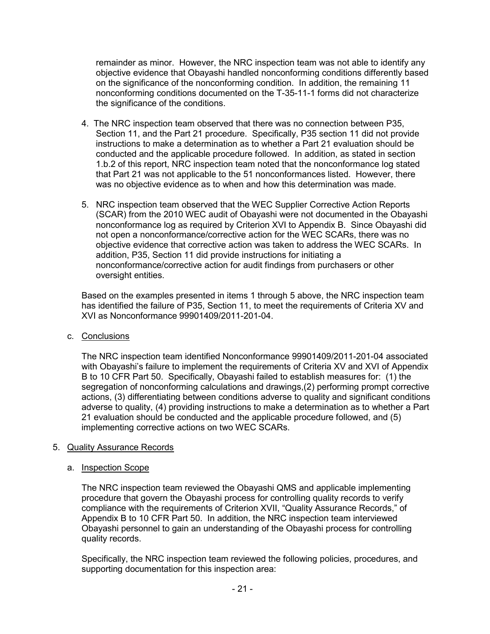remainder as minor. However, the NRC inspection team was not able to identify any objective evidence that Obayashi handled nonconforming conditions differently based on the significance of the nonconforming condition. In addition, the remaining 11 nonconforming conditions documented on the T-35-11-1 forms did not characterize the significance of the conditions.

- 4. The NRC inspection team observed that there was no connection between P35, Section 11, and the Part 21 procedure. Specifically, P35 section 11 did not provide instructions to make a determination as to whether a Part 21 evaluation should be conducted and the applicable procedure followed. In addition, as stated in section 1.b.2 of this report, NRC inspection team noted that the nonconformance log stated that Part 21 was not applicable to the 51 nonconformances listed. However, there was no objective evidence as to when and how this determination was made.
- 5. NRC inspection team observed that the WEC Supplier Corrective Action Reports (SCAR) from the 2010 WEC audit of Obayashi were not documented in the Obayashi nonconformance log as required by Criterion XVI to Appendix B. Since Obayashi did not open a nonconformance/corrective action for the WEC SCARs, there was no objective evidence that corrective action was taken to address the WEC SCARs. In addition, P35, Section 11 did provide instructions for initiating a nonconformance/corrective action for audit findings from purchasers or other oversight entities.

Based on the examples presented in items 1 through 5 above, the NRC inspection team has identified the failure of P35, Section 11, to meet the requirements of Criteria XV and XVI as Nonconformance 99901409/2011-201-04.

c. Conclusions

The NRC inspection team identified Nonconformance 99901409/2011-201-04 associated with Obayashi's failure to implement the requirements of Criteria XV and XVI of Appendix B to 10 CFR Part 50. Specifically, Obayashi failed to establish measures for: (1) the segregation of nonconforming calculations and drawings,(2) performing prompt corrective actions, (3) differentiating between conditions adverse to quality and significant conditions adverse to quality, (4) providing instructions to make a determination as to whether a Part 21 evaluation should be conducted and the applicable procedure followed, and (5) implementing corrective actions on two WEC SCARs.

# 5. Quality Assurance Records

# a. Inspection Scope

The NRC inspection team reviewed the Obayashi QMS and applicable implementing procedure that govern the Obayashi process for controlling quality records to verify compliance with the requirements of Criterion XVII, "Quality Assurance Records," of Appendix B to 10 CFR Part 50. In addition, the NRC inspection team interviewed Obayashi personnel to gain an understanding of the Obayashi process for controlling quality records.

Specifically, the NRC inspection team reviewed the following policies, procedures, and supporting documentation for this inspection area: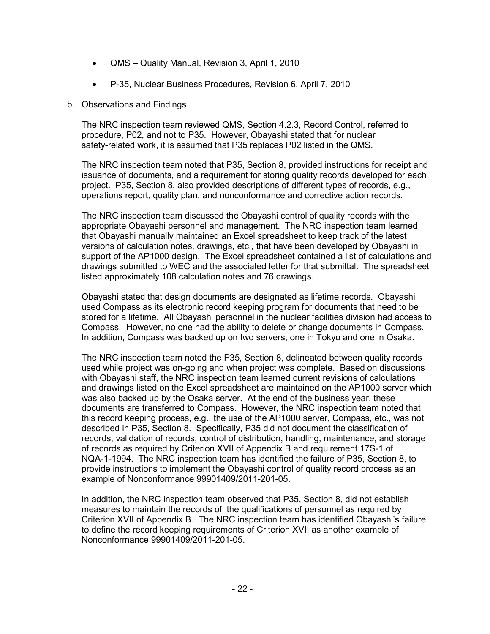- QMS Quality Manual, Revision 3, April 1, 2010
- P-35, Nuclear Business Procedures, Revision 6, April 7, 2010

#### b. Observations and Findings

The NRC inspection team reviewed QMS, Section 4.2.3, Record Control, referred to procedure, P02, and not to P35. However, Obayashi stated that for nuclear safety-related work, it is assumed that P35 replaces P02 listed in the QMS.

The NRC inspection team noted that P35, Section 8, provided instructions for receipt and issuance of documents, and a requirement for storing quality records developed for each project. P35, Section 8, also provided descriptions of different types of records, e.g., operations report, quality plan, and nonconformance and corrective action records.

The NRC inspection team discussed the Obayashi control of quality records with the appropriate Obayashi personnel and management. The NRC inspection team learned that Obayashi manually maintained an Excel spreadsheet to keep track of the latest versions of calculation notes, drawings, etc., that have been developed by Obayashi in support of the AP1000 design. The Excel spreadsheet contained a list of calculations and drawings submitted to WEC and the associated letter for that submittal. The spreadsheet listed approximately 108 calculation notes and 76 drawings.

Obayashi stated that design documents are designated as lifetime records. Obayashi used Compass as its electronic record keeping program for documents that need to be stored for a lifetime. All Obayashi personnel in the nuclear facilities division had access to Compass. However, no one had the ability to delete or change documents in Compass. In addition, Compass was backed up on two servers, one in Tokyo and one in Osaka.

The NRC inspection team noted the P35, Section 8, delineated between quality records used while project was on-going and when project was complete. Based on discussions with Obayashi staff, the NRC inspection team learned current revisions of calculations and drawings listed on the Excel spreadsheet are maintained on the AP1000 server which was also backed up by the Osaka server. At the end of the business year, these documents are transferred to Compass. However, the NRC inspection team noted that this record keeping process, e.g., the use of the AP1000 server, Compass, etc., was not described in P35, Section 8. Specifically, P35 did not document the classification of records, validation of records, control of distribution, handling, maintenance, and storage of records as required by Criterion XVII of Appendix B and requirement 17S-1 of NQA-1-1994. The NRC inspection team has identified the failure of P35, Section 8, to provide instructions to implement the Obayashi control of quality record process as an example of Nonconformance 99901409/2011-201-05.

In addition, the NRC inspection team observed that P35, Section 8, did not establish measures to maintain the records of the qualifications of personnel as required by Criterion XVII of Appendix B. The NRC inspection team has identified Obayashi's failure to define the record keeping requirements of Criterion XVII as another example of Nonconformance 99901409/2011-201-05.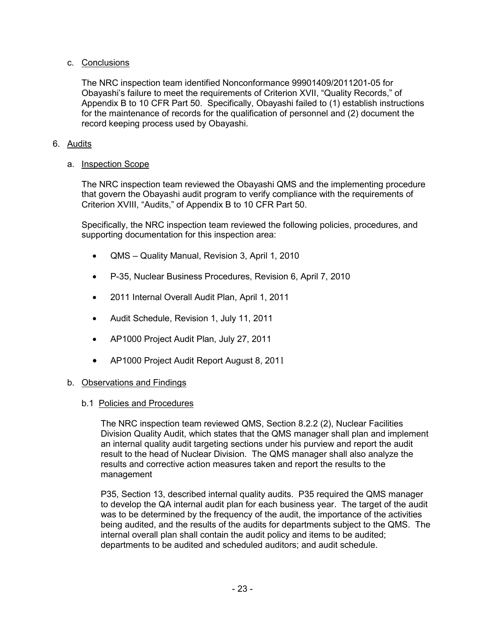# c. Conclusions

The NRC inspection team identified Nonconformance 99901409/2011201-05 for Obayashi's failure to meet the requirements of Criterion XVII, "Quality Records," of Appendix B to 10 CFR Part 50. Specifically, Obayashi failed to (1) establish instructions for the maintenance of records for the qualification of personnel and (2) document the record keeping process used by Obayashi.

# 6. Audits

# a. Inspection Scope

The NRC inspection team reviewed the Obayashi QMS and the implementing procedure that govern the Obayashi audit program to verify compliance with the requirements of Criterion XVIII, "Audits," of Appendix B to 10 CFR Part 50.

Specifically, the NRC inspection team reviewed the following policies, procedures, and supporting documentation for this inspection area:

- QMS Quality Manual, Revision 3, April 1, 2010
- P-35, Nuclear Business Procedures, Revision 6, April 7, 2010
- 2011 Internal Overall Audit Plan, April 1, 2011
- Audit Schedule, Revision 1, July 11, 2011
- AP1000 Project Audit Plan, July 27, 2011
- AP1000 Project Audit Report August 8, 2011

# b. Observations and Findings

# b.1 Policies and Procedures

The NRC inspection team reviewed QMS, Section 8.2.2 (2), Nuclear Facilities Division Quality Audit, which states that the QMS manager shall plan and implement an internal quality audit targeting sections under his purview and report the audit result to the head of Nuclear Division. The QMS manager shall also analyze the results and corrective action measures taken and report the results to the management

P35, Section 13, described internal quality audits. P35 required the QMS manager to develop the QA internal audit plan for each business year. The target of the audit was to be determined by the frequency of the audit, the importance of the activities being audited, and the results of the audits for departments subject to the QMS. The internal overall plan shall contain the audit policy and items to be audited; departments to be audited and scheduled auditors; and audit schedule.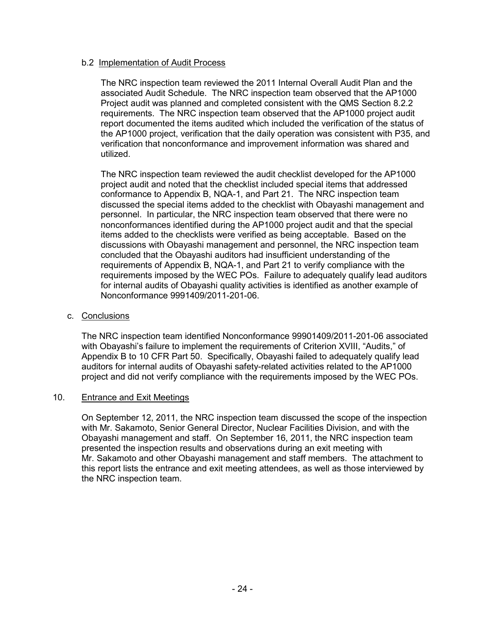### b.2 Implementation of Audit Process

The NRC inspection team reviewed the 2011 Internal Overall Audit Plan and the associated Audit Schedule. The NRC inspection team observed that the AP1000 Project audit was planned and completed consistent with the QMS Section 8.2.2 requirements. The NRC inspection team observed that the AP1000 project audit report documented the items audited which included the verification of the status of the AP1000 project, verification that the daily operation was consistent with P35, and verification that nonconformance and improvement information was shared and utilized.

The NRC inspection team reviewed the audit checklist developed for the AP1000 project audit and noted that the checklist included special items that addressed conformance to Appendix B, NQA-1, and Part 21. The NRC inspection team discussed the special items added to the checklist with Obayashi management and personnel. In particular, the NRC inspection team observed that there were no nonconformances identified during the AP1000 project audit and that the special items added to the checklists were verified as being acceptable. Based on the discussions with Obayashi management and personnel, the NRC inspection team concluded that the Obayashi auditors had insufficient understanding of the requirements of Appendix B, NQA-1, and Part 21 to verify compliance with the requirements imposed by the WEC POs. Failure to adequately qualify lead auditors for internal audits of Obayashi quality activities is identified as another example of Nonconformance 9991409/2011-201-06.

#### c. Conclusions

The NRC inspection team identified Nonconformance 99901409/2011-201-06 associated with Obayashi's failure to implement the requirements of Criterion XVIII, "Audits," of Appendix B to 10 CFR Part 50. Specifically, Obayashi failed to adequately qualify lead auditors for internal audits of Obayashi safety-related activities related to the AP1000 project and did not verify compliance with the requirements imposed by the WEC POs.

#### 10. Entrance and Exit Meetings

On September 12, 2011, the NRC inspection team discussed the scope of the inspection with Mr. Sakamoto, Senior General Director, Nuclear Facilities Division, and with the Obayashi management and staff. On September 16, 2011, the NRC inspection team presented the inspection results and observations during an exit meeting with Mr. Sakamoto and other Obayashi management and staff members. The attachment to this report lists the entrance and exit meeting attendees, as well as those interviewed by the NRC inspection team.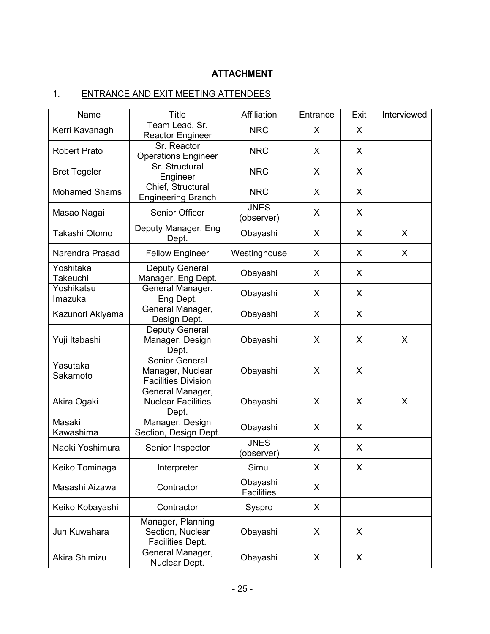# **ATTACHMENT**

# 1. ENTRANCE AND EXIT MEETING ATTENDEES

| Name                                                             | <b>Title</b>                                                     | Affiliation                   | Entrance | Exit     | Interviewed |
|------------------------------------------------------------------|------------------------------------------------------------------|-------------------------------|----------|----------|-------------|
| Kerri Kavanagh                                                   | Team Lead, Sr.<br><b>Reactor Engineer</b>                        | <b>NRC</b>                    | X        | X        |             |
| Sr. Reactor<br><b>Robert Prato</b><br><b>Operations Engineer</b> |                                                                  | <b>NRC</b>                    | X        | X        |             |
| Sr. Structural<br><b>Bret Tegeler</b><br>Engineer                |                                                                  | <b>NRC</b>                    | X        | X        |             |
| <b>Mohamed Shams</b>                                             | Chief, Structural<br><b>Engineering Branch</b>                   | <b>NRC</b>                    | X        | X        |             |
| Masao Nagai                                                      | Senior Officer                                                   | <b>JNES</b><br>(observer)     | X        | X        |             |
| Takashi Otomo                                                    | Deputy Manager, Eng<br>Dept.                                     | Obayashi                      | X        | X        | X           |
| Narendra Prasad                                                  | <b>Fellow Engineer</b>                                           | Westinghouse                  | X        | X        | X           |
| Yoshitaka<br>Takeuchi                                            | Deputy General<br>Manager, Eng Dept.                             | Obayashi                      | X        | X        |             |
| Yoshikatsu<br>Imazuka                                            | General Manager,<br>Eng Dept.                                    | Obayashi                      | X        | X        |             |
| General Manager,<br>Kazunori Akiyama<br>Design Dept.             |                                                                  | Obayashi                      | X        | X        |             |
| Yuji Itabashi                                                    | Deputy General<br>Manager, Design<br>Dept.                       | Obayashi                      | X        | X        | X           |
| Yasutaka<br>Sakamoto                                             | Senior General<br>Manager, Nuclear<br><b>Facilities Division</b> | Obayashi                      | X        | X        |             |
| Akira Ogaki                                                      | General Manager,<br><b>Nuclear Facilities</b><br>Dept.           | Obayashi                      | X        | X        | X           |
| Masaki<br>Kawashima                                              | Manager, Design<br>Section, Design Dept.                         | Obayashi                      | X        | X        |             |
| Naoki Yoshimura                                                  | Senior Inspector                                                 | <b>JNES</b><br>(observer)     | X        | X        |             |
| Keiko Tominaga                                                   | Interpreter                                                      | Simul                         | X        | $\times$ |             |
| Masashi Aizawa<br>Contractor                                     |                                                                  | Obayashi<br><b>Facilities</b> | X        |          |             |
| Keiko Kobayashi                                                  | Contractor                                                       | Syspro                        | X        |          |             |
| Jun Kuwahara                                                     | Manager, Planning<br>Section, Nuclear<br>Facilities Dept.        |                               | X        | X        |             |
| Akira Shimizu                                                    | General Manager,<br>Nuclear Dept.                                | Obayashi                      | X        | X        |             |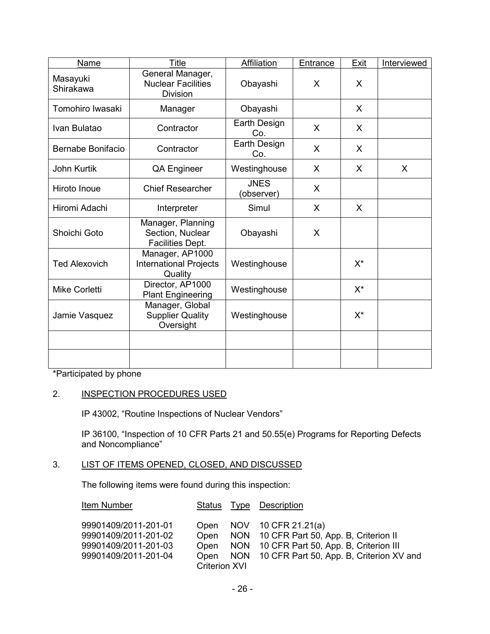| <b>Name</b>                | Title                                                            | <b>Affiliation</b>        | Entrance | Exit  | Interviewed |
|----------------------------|------------------------------------------------------------------|---------------------------|----------|-------|-------------|
| Masayuki<br>Shirakawa      | General Manager,<br><b>Nuclear Facilities</b><br><b>Division</b> | Obayashi                  | X        | X     |             |
| Tomohiro Iwasaki           | Manager                                                          | Obayashi                  |          | X     |             |
| Contractor<br>Ivan Bulatao |                                                                  | Earth Design<br>Co.       | X        | X     |             |
| Bernabe Bonifacio          | Contractor                                                       | Earth Design<br>Co.       | X        | X     |             |
| <b>John Kurtik</b>         | QA Engineer                                                      | Westinghouse              | X        | X     | X           |
| Hiroto Inoue               | <b>Chief Researcher</b>                                          | <b>JNES</b><br>(observer) | X        |       |             |
| Hiromi Adachi              | Interpreter                                                      | Simul                     | X        | X     |             |
| Shoichi Goto               | Manager, Planning<br>Section, Nuclear<br><b>Facilities Dept.</b> | Obayashi                  | X        |       |             |
| <b>Ted Alexovich</b>       | Manager, AP1000<br><b>International Projects</b><br>Quality      | Westinghouse              |          | $X^*$ |             |
| <b>Mike Corletti</b>       | Director, AP1000<br><b>Plant Engineering</b>                     | Westinghouse              |          | $X^*$ |             |
| Jamie Vasquez              | Manager, Global<br><b>Supplier Quality</b><br>Oversight          | Westinghouse              |          | $X^*$ |             |
|                            |                                                                  |                           |          |       |             |
|                            |                                                                  |                           |          |       |             |

\*Participated by phone

# 2. INSPECTION PROCEDURES USED

IP 43002, "Routine Inspections of Nuclear Vendors"

IP 36100, "Inspection of 10 CFR Parts 21 and 50.55(e) Programs for Reporting Defects and Noncompliance"

# 3. LIST OF ITEMS OPENED, CLOSED, AND DISCUSSED

The following items were found during this inspection:

| Item Number                                                                                  | Status                                               | Type Description                                                                                                                                             |
|----------------------------------------------------------------------------------------------|------------------------------------------------------|--------------------------------------------------------------------------------------------------------------------------------------------------------------|
| 99901409/2011-201-01<br>99901409/2011-201-02<br>99901409/2011-201-03<br>99901409/2011-201-04 | Open<br>Open<br>Open<br>Open<br><b>Criterion XVI</b> | NOV 10 CFR 21.21(a)<br>NON 10 CFR Part 50, App. B, Criterion II<br>NON 10 CFR Part 50, App. B, Criterion III<br>NON 10 CFR Part 50, App. B, Criterion XV and |